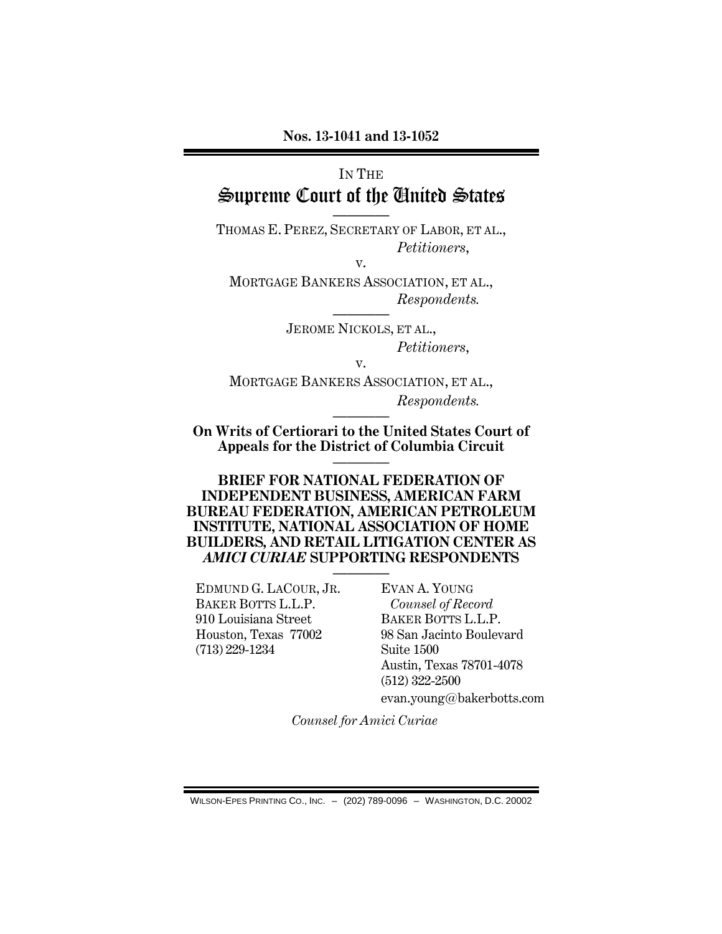# IN THE Supreme Court of the United States

———— THOMAS E. PEREZ, SECRETARY OF LABOR, ET AL., *Petitioners*,

v.

MORTGAGE BANKERS ASSOCIATION, ET AL., *Respondents.*

> ———— JEROME NICKOLS, ET AL., *Petitioners*,

> > v.

MORTGAGE BANKERS ASSOCIATION, ET AL., *Respondents.*

———— **On Writs of Certiorari to the United States Court of Appeals for the District of Columbia Circuit** ————

**BRIEF FOR NATIONAL FEDERATION OF INDEPENDENT BUSINESS, AMERICAN FARM BUREAU FEDERATION, AMERICAN PETROLEUM INSTITUTE, NATIONAL ASSOCIATION OF HOME BUILDERS, AND RETAIL LITIGATION CENTER AS**  *AMICI CURIAE* **SUPPORTING RESPONDENTS**

EDMUND G. LACOUR, JR. BAKER BOTTS L.L.P. 910 Louisiana Street Houston, Texas 77002 (713) 229-1234

———— EVAN A. YOUNG *Counsel of Record* BAKER BOTTS L.L.P. 98 San Jacinto Boulevard Suite 1500 Austin, Texas 78701-4078 (512) 322-2500

evan.young@bakerbotts.com

*Counsel for Amici Curiae*

WILSON-EPES PRINTING CO., INC. – (202) 789-0096 – WASHINGTON, D.C. 20002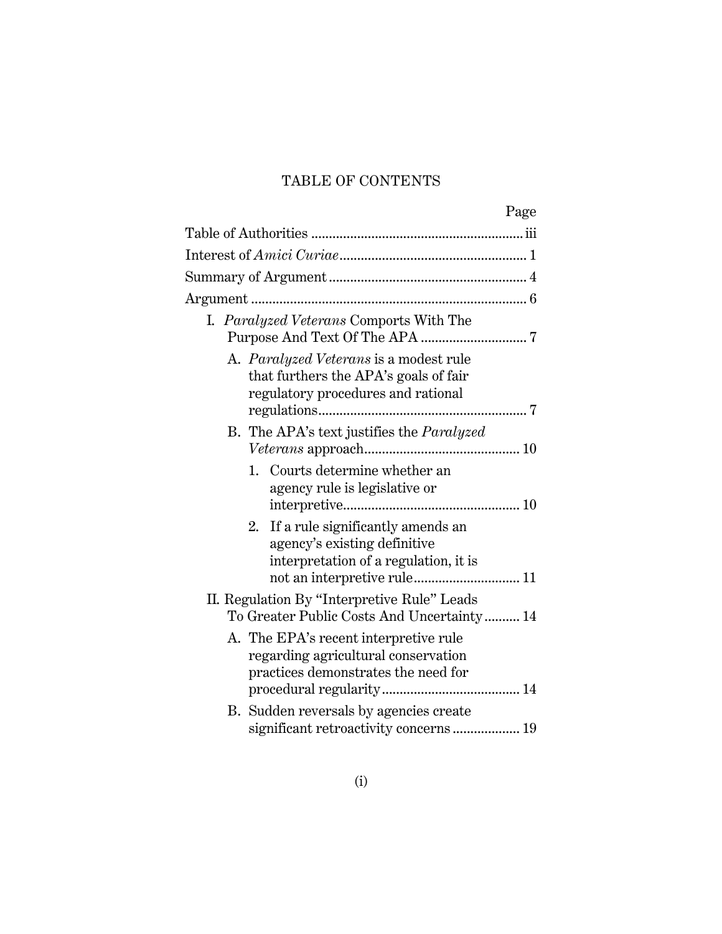## TABLE OF CONTENTS

|                                                                                                                                                 | Page |
|-------------------------------------------------------------------------------------------------------------------------------------------------|------|
|                                                                                                                                                 |      |
|                                                                                                                                                 |      |
|                                                                                                                                                 |      |
|                                                                                                                                                 |      |
| I. Paralyzed Veterans Comports With The                                                                                                         |      |
| A. Paralyzed Veterans is a modest rule<br>that furthers the APA's goals of fair<br>regulatory procedures and rational                           |      |
| B. The APA's text justifies the <i>Paralyzed</i>                                                                                                |      |
| Courts determine whether an<br>1.<br>agency rule is legislative or                                                                              |      |
| If a rule significantly amends an<br>2.<br>agency's existing definitive<br>interpretation of a regulation, it is<br>not an interpretive rule 11 |      |
| II. Regulation By "Interpretive Rule" Leads<br>To Greater Public Costs And Uncertainty 14                                                       |      |
| A. The EPA's recent interpretive rule<br>regarding agricultural conservation<br>practices demonstrates the need for                             |      |
| B. Sudden reversals by agencies create<br>significant retroactivity concerns 19                                                                 |      |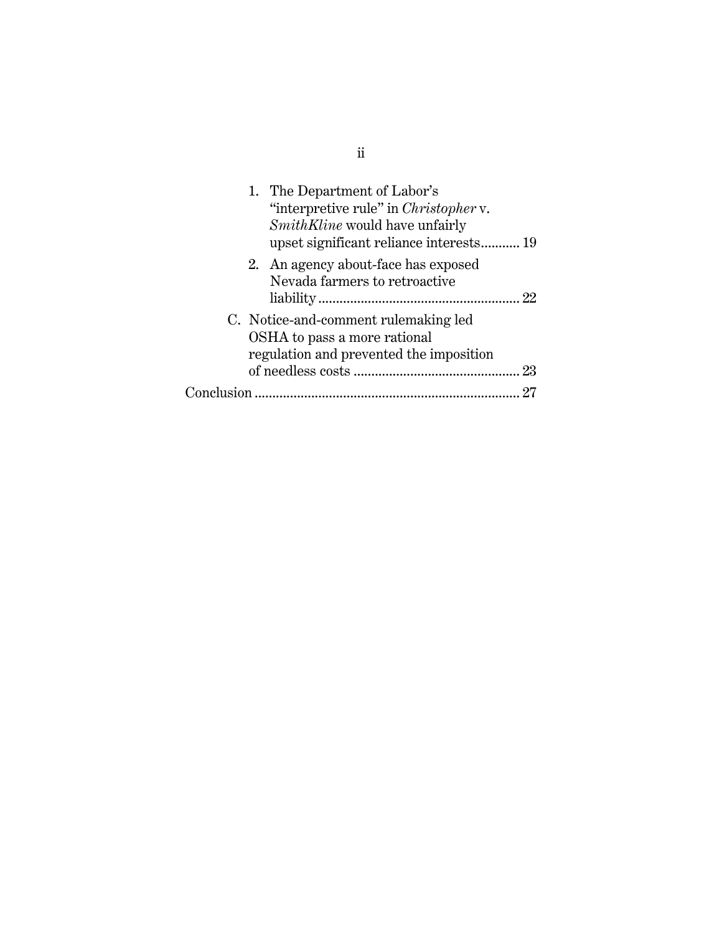| 1. The Department of Labor's<br>"interpretive rule" in <i>Christopher</i> v.<br><i>SmithKline</i> would have unfairly |
|-----------------------------------------------------------------------------------------------------------------------|
| 2. An agency about-face has exposed<br>Nevada farmers to retroactive                                                  |
| C. Notice-and-comment rulemaking led<br>OSHA to pass a more rational<br>regulation and prevented the imposition<br>23 |
|                                                                                                                       |
|                                                                                                                       |

ii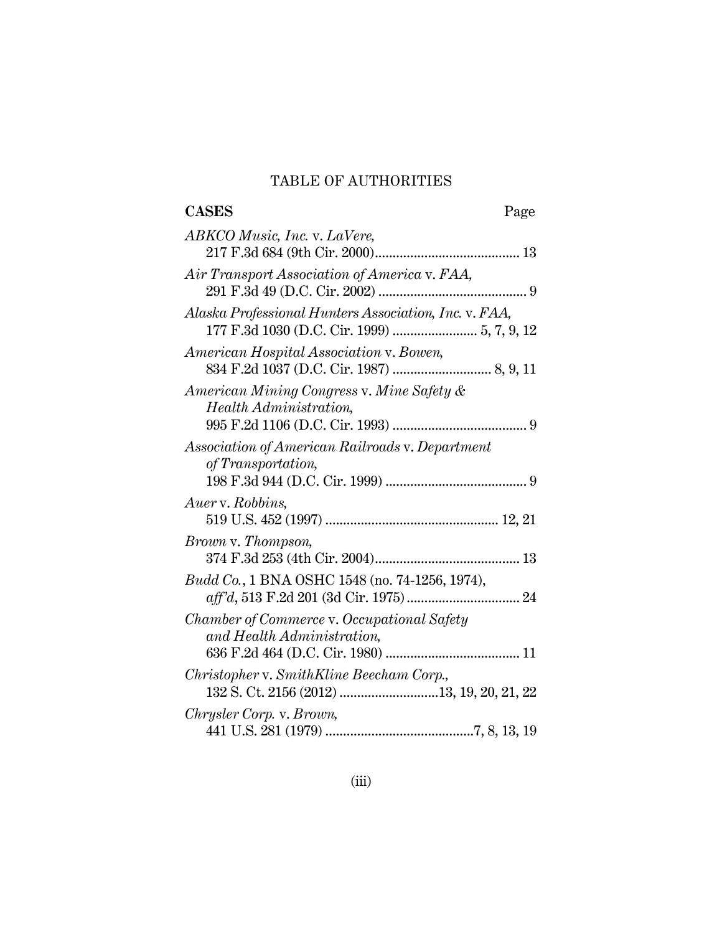### TABLE OF AUTHORITIES

| <b>CASES</b><br>Page                                                     |  |
|--------------------------------------------------------------------------|--|
| ABKCO Music, Inc. v. LaVere,                                             |  |
| Air Transport Association of America v. FAA,                             |  |
| Alaska Professional Hunters Association, Inc. v. FAA,                    |  |
| American Hospital Association v. Bowen,                                  |  |
| American Mining Congress v. Mine Safety &<br>Health Administration,      |  |
| Association of American Railroads v. Department<br>of Transportation,    |  |
| Auer v. Robbins,                                                         |  |
| Brown v. Thompson,                                                       |  |
| Budd Co., 1 BNA OSHC 1548 (no. 74-1256, 1974),                           |  |
| Chamber of Commerce v. Occupational Safety<br>and Health Administration, |  |
| Christopher v. SmithKline Beecham Corp.,                                 |  |
| Chrysler Corp. v. Brown,                                                 |  |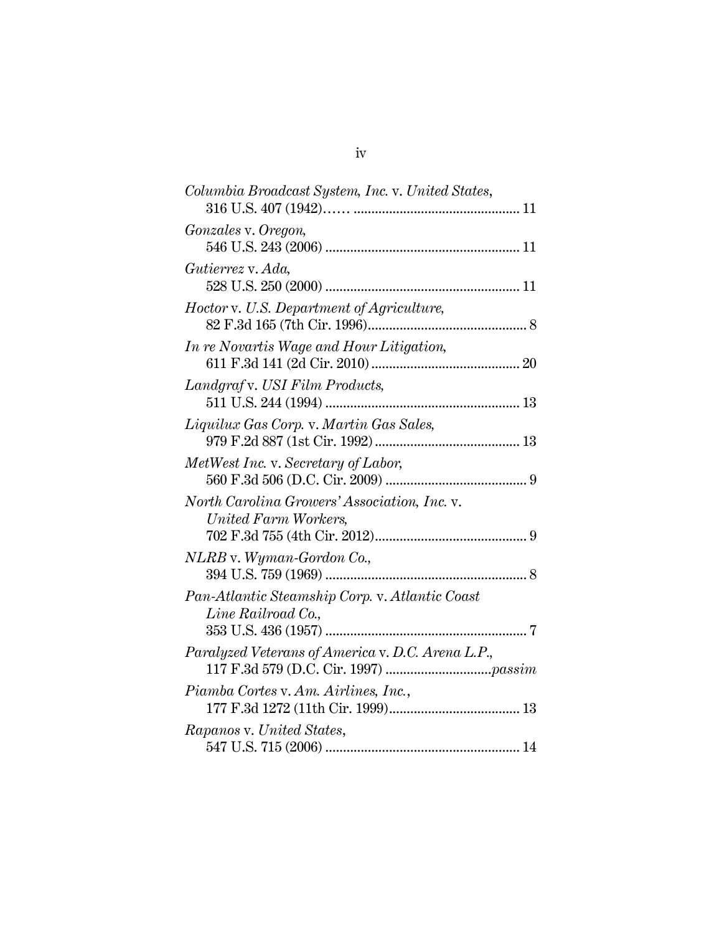| Columbia Broadcast System, Inc. v. United States,                    |
|----------------------------------------------------------------------|
| Gonzales v. Oregon,                                                  |
| Gutierrez v. Ada,                                                    |
| Hoctor v. U.S. Department of Agriculture,                            |
| In re Novartis Wage and Hour Litigation,                             |
| Landgraf v. USI Film Products,                                       |
| Liquilux Gas Corp. v. Martin Gas Sales,                              |
| MetWest Inc. v. Secretary of Labor,                                  |
| North Carolina Growers' Association, Inc. v.<br>United Farm Workers, |
| NLRB v. Wyman-Gordon Co.,                                            |
| Pan-Atlantic Steamship Corp. v. Atlantic Coast<br>Line Railroad Co., |
| Paralyzed Veterans of America v. D.C. Arena L.P.,                    |
| Piamba Cortes v. Am. Airlines, Inc.,                                 |
| Rapanos v. United States,                                            |
|                                                                      |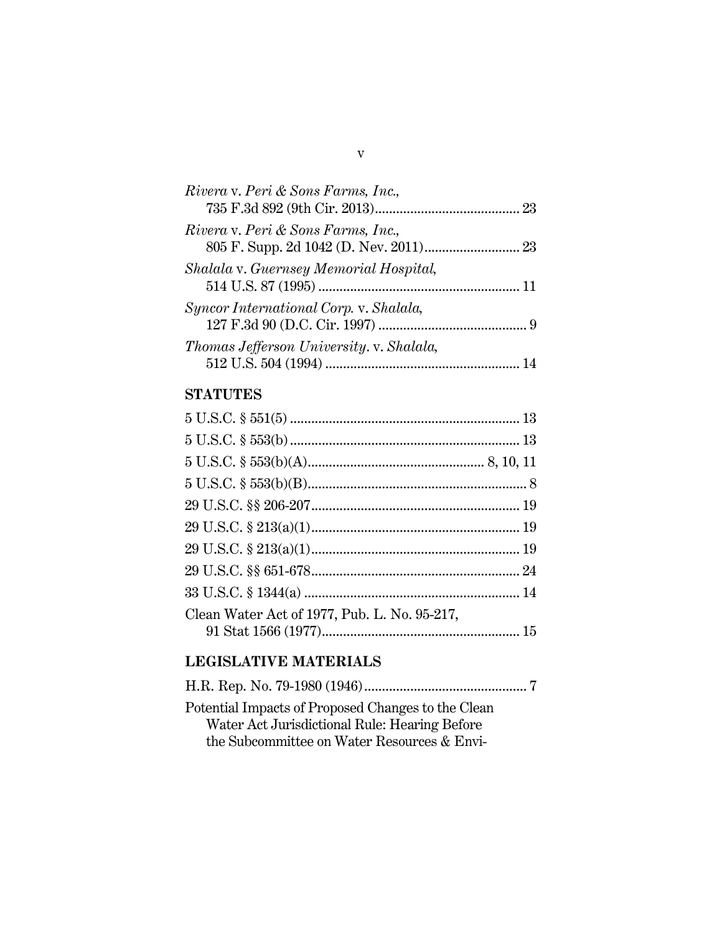| Rivera v. Peri & Sons Farms, Inc.,       |    |
|------------------------------------------|----|
| Rivera v. Peri & Sons Farms, Inc.,       |    |
| Shalala v. Guernsey Memorial Hospital,   |    |
| Syncor International Corp. v. Shalala,   |    |
| Thomas Jefferson University. v. Shalala, | 14 |

### **STATUTES**

| Clean Water Act of 1977, Pub. L. No. 95-217, |  |
|----------------------------------------------|--|
|                                              |  |

## **LEGISLATIVE MATERIALS**

| Potential Impacts of Proposed Changes to the Clean |  |
|----------------------------------------------------|--|
| Water Act Jurisdictional Rule: Hearing Before      |  |
| the Subcommittee on Water Resources & Envi-        |  |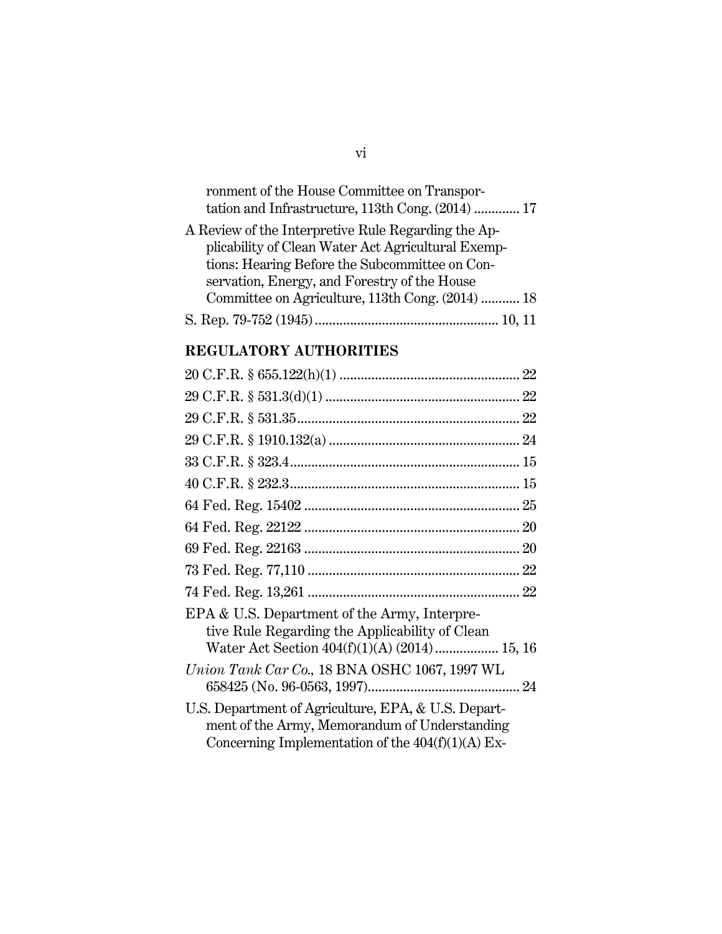| ronment of the House Committee on Transpor-<br>tation and Infrastructure, 113th Cong. (2014)  17 |
|--------------------------------------------------------------------------------------------------|
| A Review of the Interpretive Rule Regarding the Ap-                                              |
| plicability of Clean Water Act Agricultural Exemp-                                               |
| tions: Hearing Before the Subcommittee on Con-                                                   |
| servation, Energy, and Forestry of the House                                                     |
| Committee on Agriculture, 113th Cong. (2014)  18                                                 |
|                                                                                                  |

### **REGULATORY AUTHORITIES**

| EPA & U.S. Department of the Army, Interpre-<br>tive Rule Regarding the Applicability of Clean<br>Water Act Section 404(f)(1)(A) (2014)  15, 16             |
|-------------------------------------------------------------------------------------------------------------------------------------------------------------|
| Union Tank Car Co., 18 BNA OSHC 1067, 1997 WL                                                                                                               |
| U.S. Department of Agriculture, EPA, & U.S. Depart-<br>ment of the Army, Memorandum of Understanding<br>Concerning Implementation of the $404(f)(1)(A)$ Ex- |

vi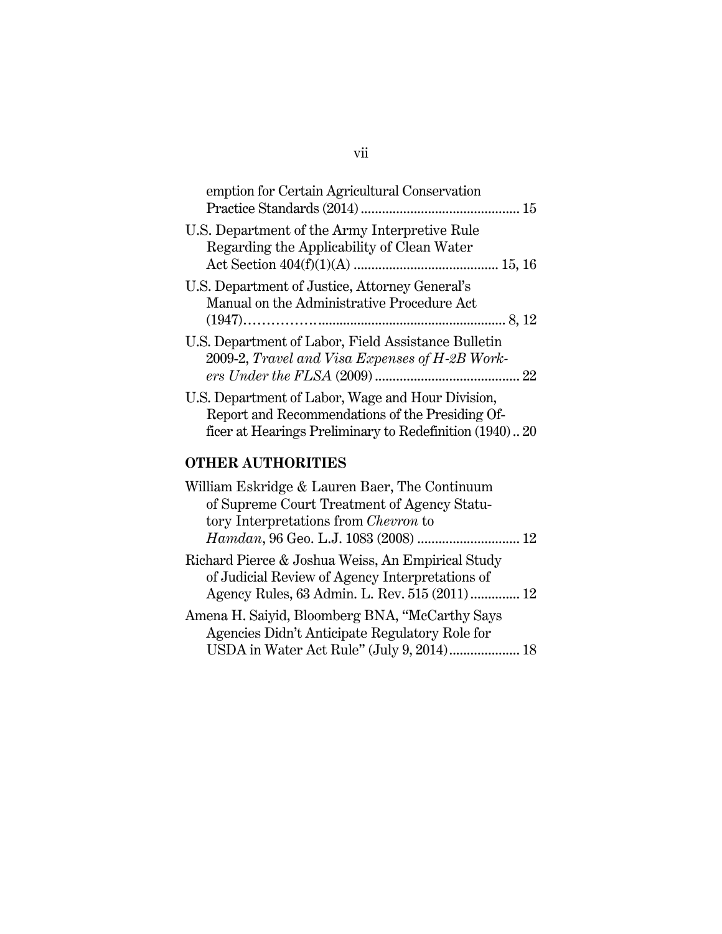| emption for Certain Agricultural Conservation                                                         |
|-------------------------------------------------------------------------------------------------------|
| U.S. Department of the Army Interpretive Rule<br>Regarding the Applicability of Clean Water           |
| U.S. Department of Justice, Attorney General's<br>Manual on the Administrative Procedure Act          |
| U.S. Department of Labor, Field Assistance Bulletin<br>2009-2, Travel and Visa Expenses of H-2B Work- |
| U.S. Department of Labor, Wage and Hour Division,<br>Report and Recommendations of the Presiding Of-  |

ficer at Hearings Preliminary to Redefinition (1940).. 20

## **OTHER AUTHORITIES**

| William Eskridge & Lauren Baer, The Continuum                                                                                                          |  |
|--------------------------------------------------------------------------------------------------------------------------------------------------------|--|
| of Supreme Court Treatment of Agency Statu-                                                                                                            |  |
| tory Interpretations from <i>Chevron</i> to                                                                                                            |  |
| Hamdan, 96 Geo. L.J. 1083 (2008)  12                                                                                                                   |  |
| Richard Pierce & Joshua Weiss, An Empirical Study<br>of Judicial Review of Agency Interpretations of<br>Agency Rules, 63 Admin. L. Rev. 515 (2011)  12 |  |
| Amena H. Saiyid, Bloomberg BNA, "McCarthy Says<br>Agencies Didn't Anticipate Regulatory Role for<br>USDA in Water Act Rule" (July 9, 2014) 18          |  |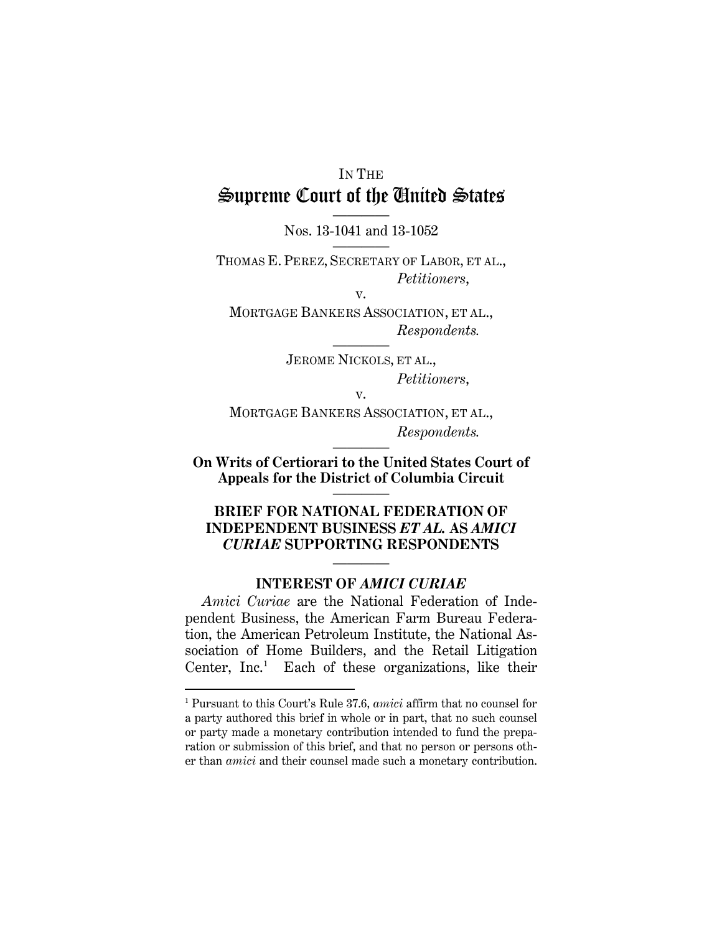# IN THE Supreme Court of the United States

———— Nos. 13-1041 and 13-1052 ————

THOMAS E. PEREZ, SECRETARY OF LABOR, ET AL., *Petitioners*,

v.

MORTGAGE BANKERS ASSOCIATION, ET AL., *Respondents.*

> ———— JEROME NICKOLS, ET AL., *Petitioners*,

> > v.

MORTGAGE BANKERS ASSOCIATION, ET AL., *Respondents.*

———— **On Writs of Certiorari to the United States Court of Appeals for the District of Columbia Circuit**

————

### **BRIEF FOR NATIONAL FEDERATION OF INDEPENDENT BUSINESS** *ET AL.* **AS** *AMICI CURIAE* **SUPPORTING RESPONDENTS**

### ———— **INTEREST OF** *AMICI CURIAE*

*Amici Curiae* are the National Federation of Independent Business, the American Farm Bureau Federation, the American Petroleum Institute, the National Association of Home Builders, and the Retail Litigation Center, Inc.<sup>[1](#page-8-0)</sup> Each of these organizations, like their

<span id="page-8-0"></span> <sup>1</sup> Pursuant to this Court's Rule 37.6, *amici* affirm that no counsel for a party authored this brief in whole or in part, that no such counsel or party made a monetary contribution intended to fund the preparation or submission of this brief, and that no person or persons other than *amici* and their counsel made such a monetary contribution.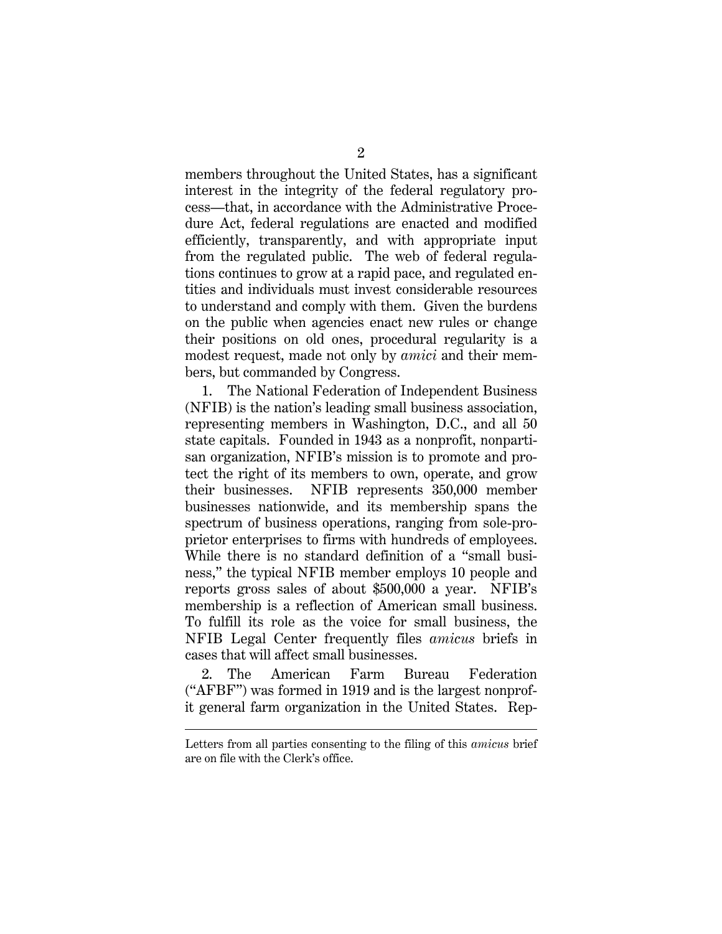members throughout the United States, has a significant interest in the integrity of the federal regulatory process—that, in accordance with the Administrative Procedure Act, federal regulations are enacted and modified efficiently, transparently, and with appropriate input from the regulated public. The web of federal regulations continues to grow at a rapid pace, and regulated entities and individuals must invest considerable resources to understand and comply with them. Given the burdens on the public when agencies enact new rules or change their positions on old ones, procedural regularity is a modest request, made not only by *amici* and their members, but commanded by Congress.

1. The National Federation of Independent Business (NFIB) is the nation's leading small business association, representing members in Washington, D.C., and all 50 state capitals. Founded in 1943 as a nonprofit, nonpartisan organization, NFIB's mission is to promote and protect the right of its members to own, operate, and grow their businesses. NFIB represents 350,000 member businesses nationwide, and its membership spans the spectrum of business operations, ranging from sole-proprietor enterprises to firms with hundreds of employees. While there is no standard definition of a "small business," the typical NFIB member employs 10 people and reports gross sales of about \$500,000 a year. NFIB's membership is a reflection of American small business. To fulfill its role as the voice for small business, the NFIB Legal Center frequently files *amicus* briefs in cases that will affect small businesses.

2. The American Farm Bureau Federation ("AFBF") was formed in 1919 and is the largest nonprofit general farm organization in the United States. Rep-

 $\overline{a}$ 

Letters from all parties consenting to the filing of this *amicus* brief are on file with the Clerk's office.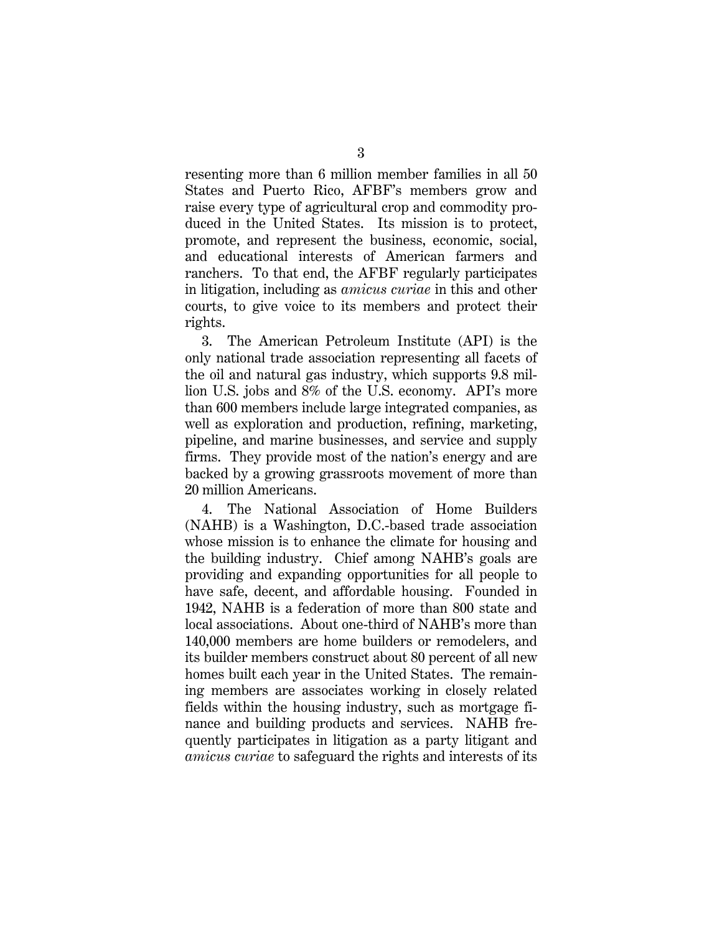resenting more than 6 million member families in all 50 States and Puerto Rico, AFBF's members grow and raise every type of agricultural crop and commodity produced in the United States. Its mission is to protect, promote, and represent the business, economic, social, and educational interests of American farmers and ranchers. To that end, the AFBF regularly participates in litigation, including as *amicus curiae* in this and other courts, to give voice to its members and protect their rights.

3. The American Petroleum Institute (API) is the only national trade association representing all facets of the oil and natural gas industry, which supports 9.8 million U.S. jobs and 8% of the U.S. economy. API's more than 600 members include large integrated companies, as well as exploration and production, refining, marketing, pipeline, and marine businesses, and service and supply firms. They provide most of the nation's energy and are backed by a growing grassroots movement of more than 20 million Americans.

4. The National Association of Home Builders (NAHB) is a Washington, D.C.-based trade association whose mission is to enhance the climate for housing and the building industry. Chief among NAHB's goals are providing and expanding opportunities for all people to have safe, decent, and affordable housing. Founded in 1942, NAHB is a federation of more than 800 state and local associations. About one-third of NAHB's more than 140,000 members are home builders or remodelers, and its builder members construct about 80 percent of all new homes built each year in the United States. The remaining members are associates working in closely related fields within the housing industry, such as mortgage finance and building products and services. NAHB frequently participates in litigation as a party litigant and *amicus curiae* to safeguard the rights and interests of its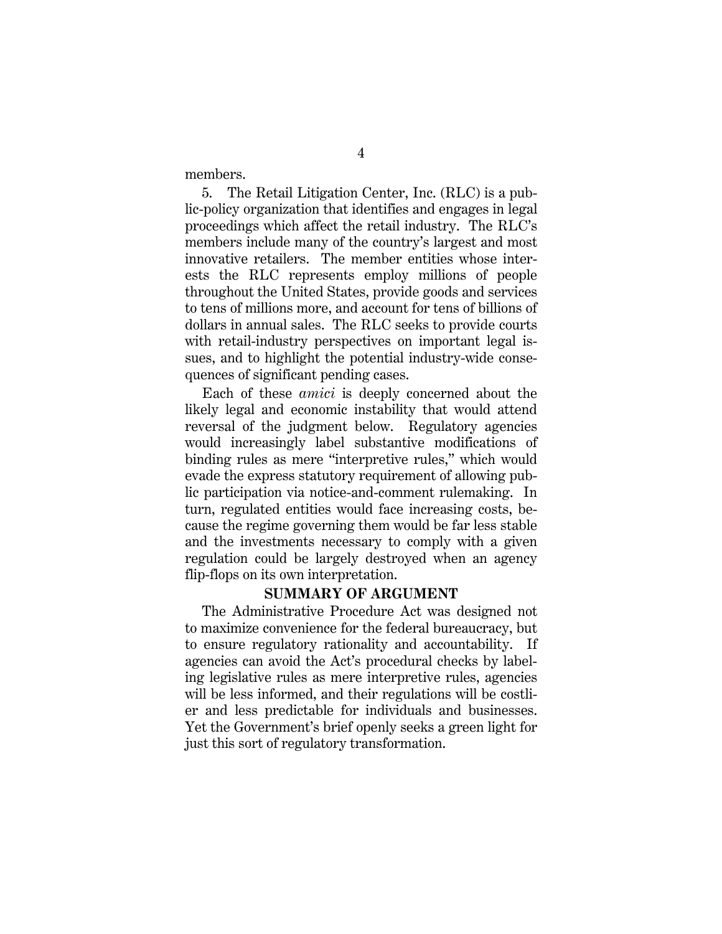members.

5. The Retail Litigation Center, Inc. (RLC) is a public-policy organization that identifies and engages in legal proceedings which affect the retail industry. The RLC's members include many of the country's largest and most innovative retailers. The member entities whose interests the RLC represents employ millions of people throughout the United States, provide goods and services to tens of millions more, and account for tens of billions of dollars in annual sales. The RLC seeks to provide courts with retail-industry perspectives on important legal issues, and to highlight the potential industry-wide consequences of significant pending cases.

Each of these *amici* is deeply concerned about the likely legal and economic instability that would attend reversal of the judgment below. Regulatory agencies would increasingly label substantive modifications of binding rules as mere "interpretive rules," which would evade the express statutory requirement of allowing public participation via notice-and-comment rulemaking. In turn, regulated entities would face increasing costs, because the regime governing them would be far less stable and the investments necessary to comply with a given regulation could be largely destroyed when an agency flip-flops on its own interpretation.

#### **SUMMARY OF ARGUMENT**

The Administrative Procedure Act was designed not to maximize convenience for the federal bureaucracy, but to ensure regulatory rationality and accountability. If agencies can avoid the Act's procedural checks by labeling legislative rules as mere interpretive rules, agencies will be less informed, and their regulations will be costlier and less predictable for individuals and businesses. Yet the Government's brief openly seeks a green light for just this sort of regulatory transformation.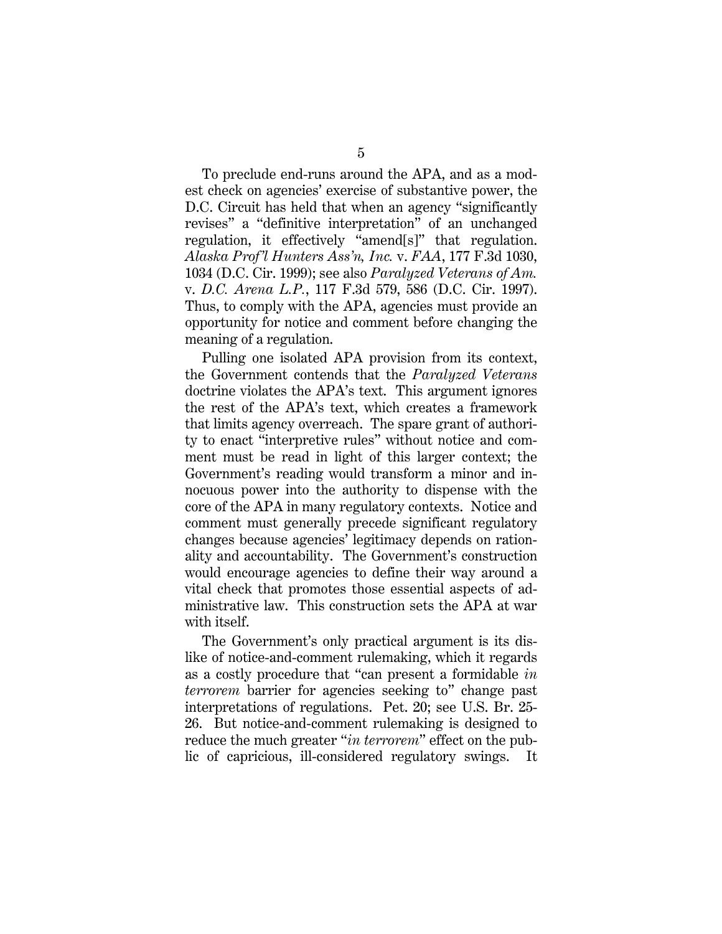To preclude end-runs around the APA, and as a modest check on agencies' exercise of substantive power, the D.C. Circuit has held that when an agency "significantly revises" a "definitive interpretation" of an unchanged regulation, it effectively "amend[s]" that regulation. *Alaska Prof'l Hunters Ass'n, Inc.* v. *FAA*, 177 F.3d 1030, 1034 (D.C. Cir. 1999); see also *Paralyzed Veterans of Am.* v. *D.C. Arena L.P.*, 117 F.3d 579, 586 (D.C. Cir. 1997). Thus, to comply with the APA, agencies must provide an opportunity for notice and comment before changing the meaning of a regulation.

Pulling one isolated APA provision from its context, the Government contends that the *Paralyzed Veterans* doctrine violates the APA's text. This argument ignores the rest of the APA's text, which creates a framework that limits agency overreach. The spare grant of authority to enact "interpretive rules" without notice and comment must be read in light of this larger context; the Government's reading would transform a minor and innocuous power into the authority to dispense with the core of the APA in many regulatory contexts. Notice and comment must generally precede significant regulatory changes because agencies' legitimacy depends on rationality and accountability. The Government's construction would encourage agencies to define their way around a vital check that promotes those essential aspects of administrative law. This construction sets the APA at war with itself.

The Government's only practical argument is its dislike of notice-and-comment rulemaking, which it regards as a costly procedure that "can present a formidable *in terrorem* barrier for agencies seeking to" change past interpretations of regulations. Pet. 20; see U.S. Br. 25- 26. But notice-and-comment rulemaking is designed to reduce the much greater "*in terrorem*" effect on the public of capricious, ill-considered regulatory swings. It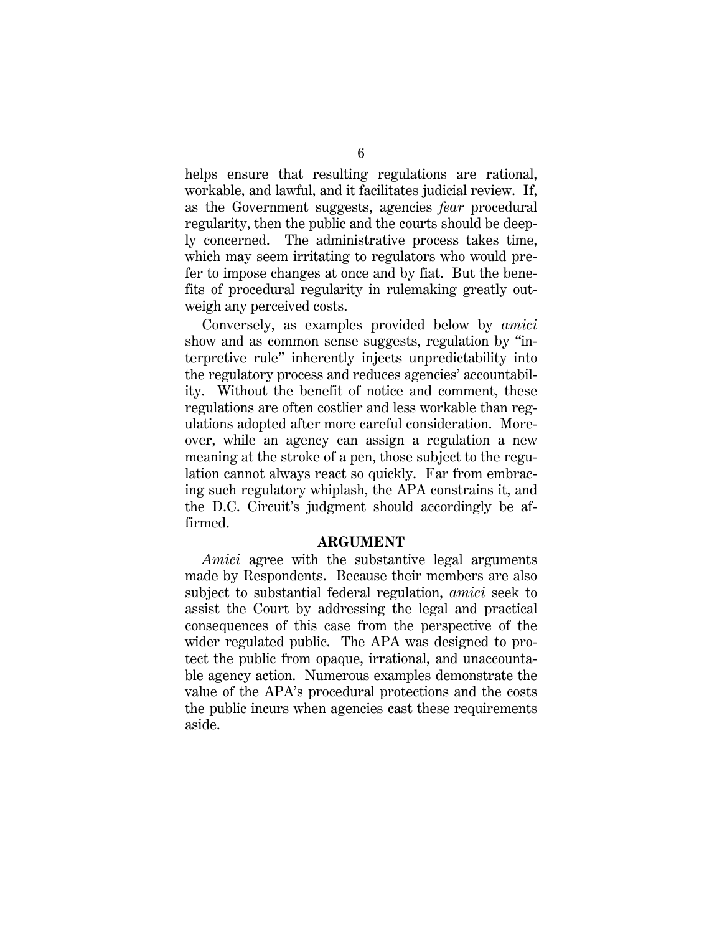helps ensure that resulting regulations are rational, workable, and lawful, and it facilitates judicial review. If, as the Government suggests, agencies *fear* procedural regularity, then the public and the courts should be deeply concerned. The administrative process takes time, which may seem irritating to regulators who would prefer to impose changes at once and by fiat. But the benefits of procedural regularity in rulemaking greatly outweigh any perceived costs.

Conversely, as examples provided below by *amici*  show and as common sense suggests, regulation by "interpretive rule" inherently injects unpredictability into the regulatory process and reduces agencies' accountability. Without the benefit of notice and comment, these regulations are often costlier and less workable than regulations adopted after more careful consideration. Moreover, while an agency can assign a regulation a new meaning at the stroke of a pen, those subject to the regulation cannot always react so quickly. Far from embracing such regulatory whiplash, the APA constrains it, and the D.C. Circuit's judgment should accordingly be affirmed.

#### **ARGUMENT**

*Amici* agree with the substantive legal arguments made by Respondents. Because their members are also subject to substantial federal regulation, *amici* seek to assist the Court by addressing the legal and practical consequences of this case from the perspective of the wider regulated public. The APA was designed to protect the public from opaque, irrational, and unaccountable agency action. Numerous examples demonstrate the value of the APA's procedural protections and the costs the public incurs when agencies cast these requirements aside.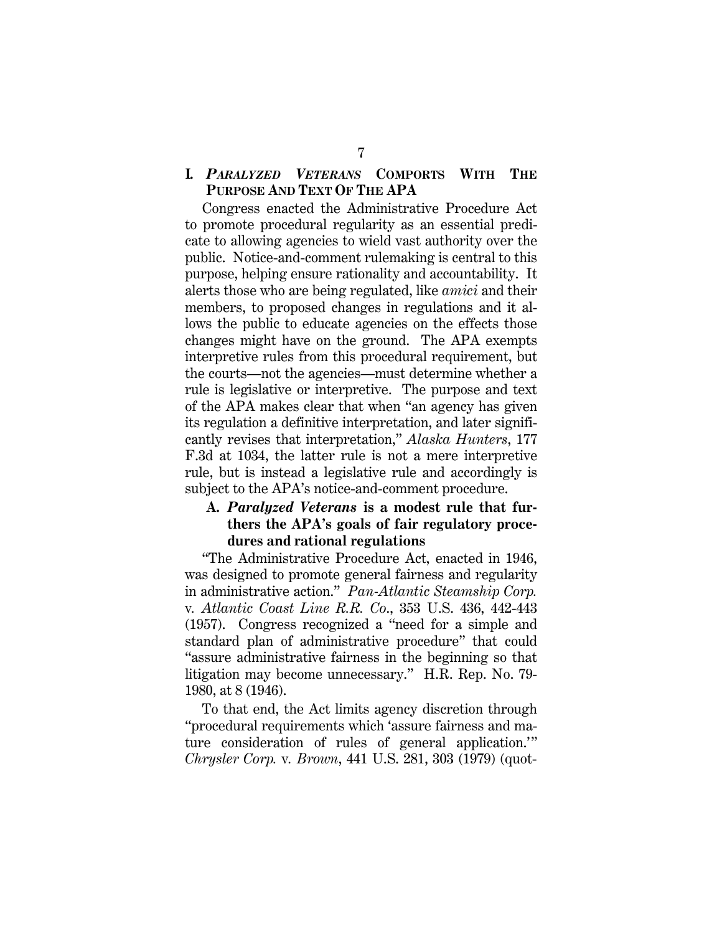#### **I.** *PARALYZED VETERANS* **COMPORTS WITH THE PURPOSE AND TEXT OF THE APA**

Congress enacted the Administrative Procedure Act to promote procedural regularity as an essential predicate to allowing agencies to wield vast authority over the public. Notice-and-comment rulemaking is central to this purpose, helping ensure rationality and accountability. It alerts those who are being regulated, like *amici* and their members, to proposed changes in regulations and it allows the public to educate agencies on the effects those changes might have on the ground. The APA exempts interpretive rules from this procedural requirement, but the courts—not the agencies—must determine whether a rule is legislative or interpretive. The purpose and text of the APA makes clear that when "an agency has given its regulation a definitive interpretation, and later significantly revises that interpretation," *Alaska Hunters*, 177 F.3d at 1034, the latter rule is not a mere interpretive rule, but is instead a legislative rule and accordingly is subject to the APA's notice-and-comment procedure.

### **A.** *Paralyzed Veterans* **is a modest rule that furthers the APA's goals of fair regulatory procedures and rational regulations**

"The Administrative Procedure Act, enacted in 1946, was designed to promote general fairness and regularity in administrative action." *Pan-Atlantic Steamship Corp.*  v*. Atlantic Coast Line R.R. Co*., 353 U.S. 436, 442-443 (1957). Congress recognized a "need for a simple and standard plan of administrative procedure" that could "assure administrative fairness in the beginning so that litigation may become unnecessary." H.R. Rep. No. 79- 1980, at 8 (1946).

To that end, the Act limits agency discretion through "procedural requirements which 'assure fairness and mature consideration of rules of general application.'" *Chrysler Corp.* v*. Brown*, 441 U.S. 281, 303 (1979) (quot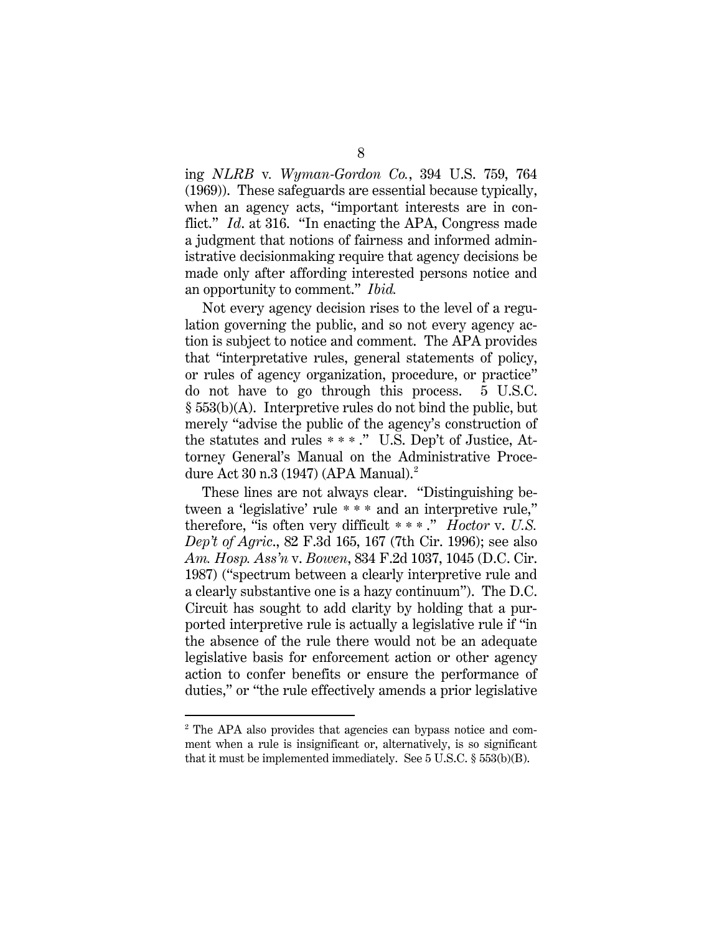ing *NLRB* v*. Wyman-Gordon Co.*, 394 U.S. 759, 764 (1969)). These safeguards are essential because typically, when an agency acts, "important interests are in conflict." *Id*. at 316. "In enacting the APA, Congress made a judgment that notions of fairness and informed administrative decisionmaking require that agency decisions be made only after affording interested persons notice and an opportunity to comment." *Ibid.*

Not every agency decision rises to the level of a regulation governing the public, and so not every agency action is subject to notice and comment. The APA provides that "interpretative rules, general statements of policy, or rules of agency organization, procedure, or practice" do not have to go through this process. 5 U.S.C. § 553(b)(A). Interpretive rules do not bind the public, but merely "advise the public of the agency's construction of the statutes and rules \*\*\* ." U.S. Dep't of Justice, Attorney General's Manual on the Administrative Procedure Act 30 n.3 (1947) (APA Manual). $^2$  $^2$ 

These lines are not always clear. "Distinguishing between a 'legislative' rule \* \* \* and an interpretive rule," therefore, "is often very difficult \*\*\* ." *Hoctor* v. *U.S. Dep't of Agric*., 82 F.3d 165, 167 (7th Cir. 1996); see also *Am. Hosp. Ass'n* v. *Bowen*, 834 F.2d 1037, 1045 (D.C. Cir. 1987) ("spectrum between a clearly interpretive rule and a clearly substantive one is a hazy continuum"). The D.C. Circuit has sought to add clarity by holding that a purported interpretive rule is actually a legislative rule if "in the absence of the rule there would not be an adequate legislative basis for enforcement action or other agency action to confer benefits or ensure the performance of duties," or "the rule effectively amends a prior legislative

<span id="page-15-0"></span> <sup>2</sup> The APA also provides that agencies can bypass notice and comment when a rule is insignificant or, alternatively, is so significant that it must be implemented immediately. See 5 U.S.C. § 553(b)(B).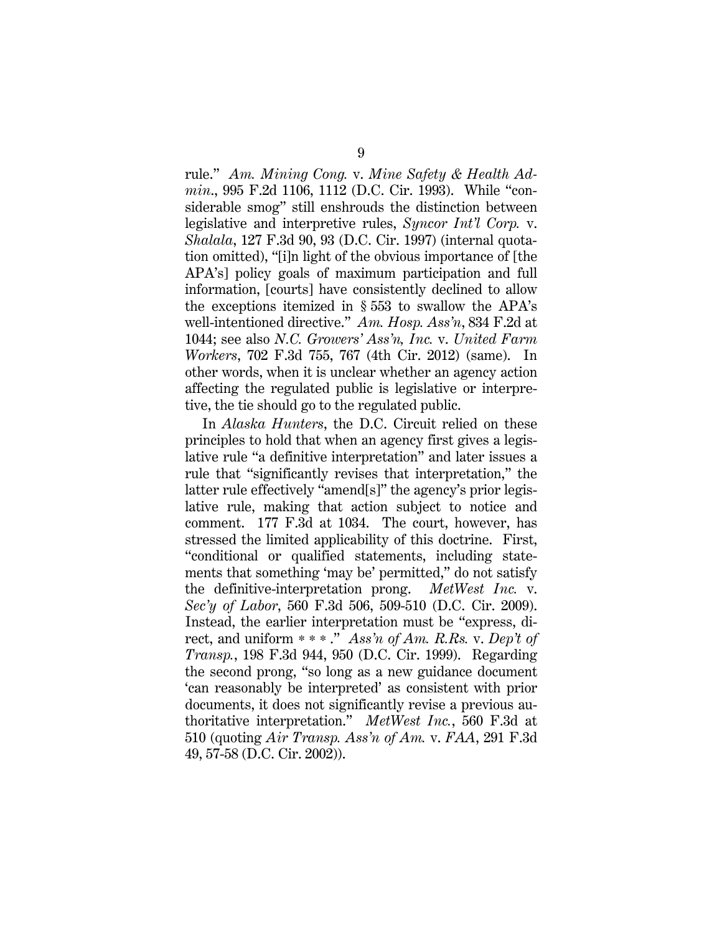rule." *Am. Mining Cong.* v. *Mine Safety & Health Admin*., 995 F.2d 1106, 1112 (D.C. Cir. 1993). While "considerable smog" still enshrouds the distinction between legislative and interpretive rules, *Syncor Int'l Corp.* v. *Shalala*, 127 F.3d 90, 93 (D.C. Cir. 1997) (internal quotation omitted), "[i]n light of the obvious importance of [the APA's] policy goals of maximum participation and full information, [courts] have consistently declined to allow the exceptions itemized in § 553 to swallow the APA's well-intentioned directive." *Am. Hosp. Ass'n*, 834 F.2d at 1044; see also *N.C. Growers' Ass'n, Inc.* v. *United Farm Workers*, 702 F.3d 755, 767 (4th Cir. 2012) (same). In other words, when it is unclear whether an agency action affecting the regulated public is legislative or interpretive, the tie should go to the regulated public.

In *Alaska Hunters*, the D.C. Circuit relied on these principles to hold that when an agency first gives a legislative rule "a definitive interpretation" and later issues a rule that "significantly revises that interpretation," the latter rule effectively "amend[s]" the agency's prior legislative rule, making that action subject to notice and comment. 177 F.3d at 1034. The court, however, has stressed the limited applicability of this doctrine. First, "conditional or qualified statements, including statements that something 'may be' permitted," do not satisfy the definitive-interpretation prong. *MetWest Inc.* v. *Sec'y of Labor*, 560 F.3d 506, 509-510 (D.C. Cir. 2009). Instead, the earlier interpretation must be "express, direct, and uniform \*\*\* ." *Ass'n of Am. R.Rs.* v. *Dep't of Transp.*, 198 F.3d 944, 950 (D.C. Cir. 1999). Regarding the second prong, "so long as a new guidance document 'can reasonably be interpreted' as consistent with prior documents, it does not significantly revise a previous authoritative interpretation." *MetWest Inc.*, 560 F.3d at 510 (quoting *Air Transp. Ass'n of Am.* v. *FAA*, 291 F.3d 49, 57-58 (D.C. Cir. 2002)).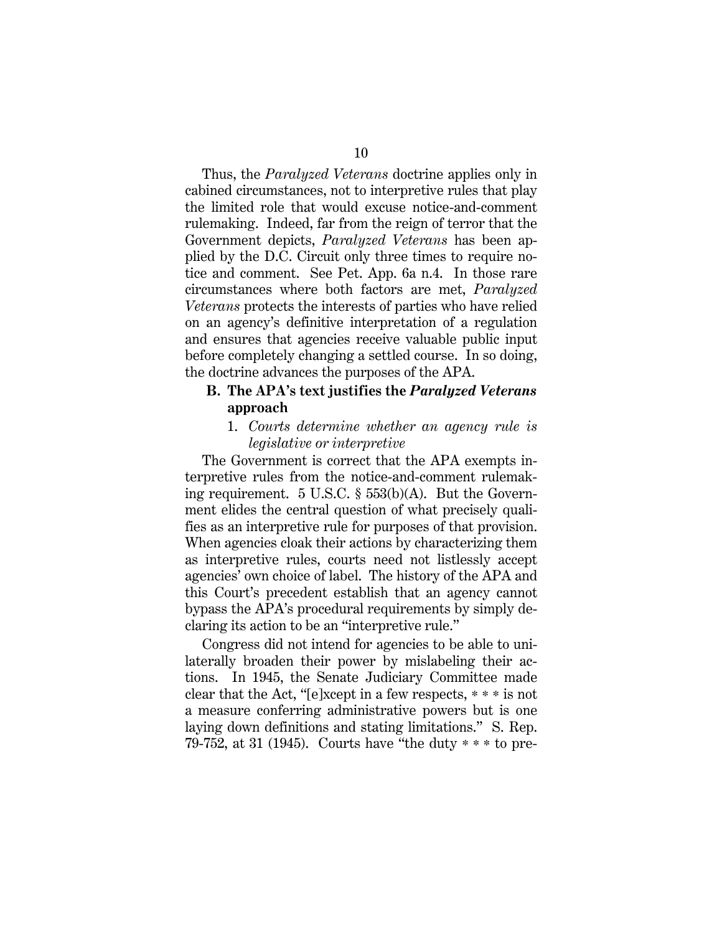Thus, the *Paralyzed Veterans* doctrine applies only in cabined circumstances, not to interpretive rules that play the limited role that would excuse notice-and-comment rulemaking. Indeed, far from the reign of terror that the Government depicts, *Paralyzed Veterans* has been applied by the D.C. Circuit only three times to require notice and comment. See Pet. App. 6a n.4. In those rare circumstances where both factors are met, *Paralyzed Veterans* protects the interests of parties who have relied on an agency's definitive interpretation of a regulation and ensures that agencies receive valuable public input before completely changing a settled course. In so doing, the doctrine advances the purposes of the APA.

#### **B. The APA's text justifies the** *Paralyzed Veterans*  **approach**

#### 1. *Courts determine whether an agency rule is legislative or interpretive*

The Government is correct that the APA exempts interpretive rules from the notice-and-comment rulemaking requirement. 5 U.S.C. § 553(b)(A). But the Government elides the central question of what precisely qualifies as an interpretive rule for purposes of that provision. When agencies cloak their actions by characterizing them as interpretive rules, courts need not listlessly accept agencies' own choice of label. The history of the APA and this Court's precedent establish that an agency cannot bypass the APA's procedural requirements by simply declaring its action to be an "interpretive rule."

Congress did not intend for agencies to be able to unilaterally broaden their power by mislabeling their actions. In 1945, the Senate Judiciary Committee made clear that the Act, "[e]xcept in a few respects, \* \* \* is not a measure conferring administrative powers but is one laying down definitions and stating limitations." S. Rep. 79-752, at 31 (1945). Courts have "the duty \* \* \* to pre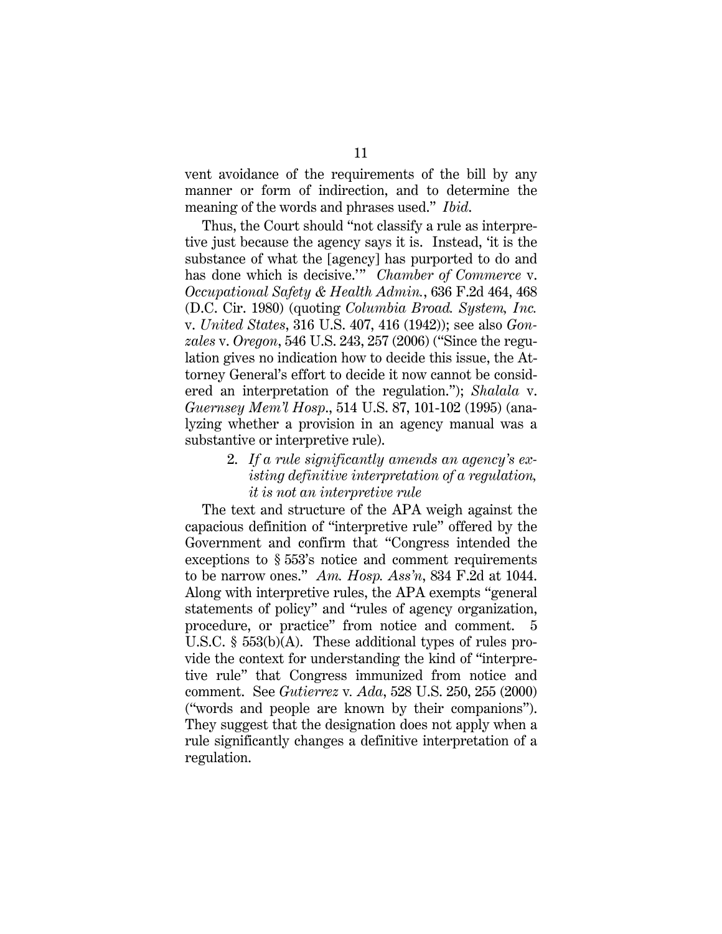vent avoidance of the requirements of the bill by any manner or form of indirection, and to determine the meaning of the words and phrases used." *Ibid*.

Thus, the Court should "not classify a rule as interpretive just because the agency says it is. Instead, 'it is the substance of what the [agency] has purported to do and has done which is decisive.'" *Chamber of Commerce* v. *Occupational Safety & Health Admin.*, 636 F.2d 464, 468 (D.C. Cir. 1980) (quoting *Columbia Broad. System, Inc.*  v. *United States*, 316 U.S. 407, 416 (1942)); see also *Gonzales* v. *Oregon*, 546 U.S. 243, 257 (2006) ("Since the regulation gives no indication how to decide this issue, the Attorney General's effort to decide it now cannot be considered an interpretation of the regulation."); *Shalala* v. *Guernsey Mem'l Hosp*., 514 U.S. 87, 101-102 (1995) (analyzing whether a provision in an agency manual was a substantive or interpretive rule).

> 2. *If a rule significantly amends an agency's existing definitive interpretation of a regulation, it is not an interpretive rule*

The text and structure of the APA weigh against the capacious definition of "interpretive rule" offered by the Government and confirm that "Congress intended the exceptions to § 553's notice and comment requirements to be narrow ones." *Am. Hosp. Ass'n*, 834 F.2d at 1044. Along with interpretive rules, the APA exempts "general statements of policy" and "rules of agency organization, procedure, or practice" from notice and comment. 5 U.S.C. § 553(b)(A). These additional types of rules provide the context for understanding the kind of "interpretive rule" that Congress immunized from notice and comment. See *Gutierrez* v*. Ada*, 528 U.S. 250, 255 (2000) ("words and people are known by their companions"). They suggest that the designation does not apply when a rule significantly changes a definitive interpretation of a regulation.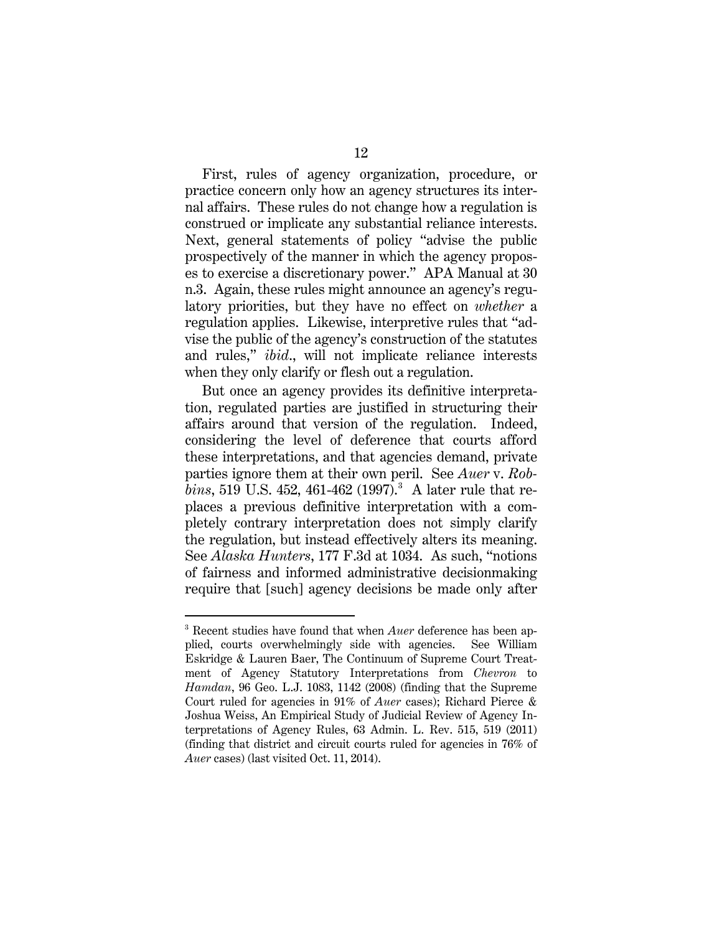First, rules of agency organization, procedure, or practice concern only how an agency structures its internal affairs. These rules do not change how a regulation is construed or implicate any substantial reliance interests. Next, general statements of policy "advise the public prospectively of the manner in which the agency proposes to exercise a discretionary power." APA Manual at 30 n.3. Again, these rules might announce an agency's regulatory priorities, but they have no effect on *whether* a regulation applies. Likewise, interpretive rules that "advise the public of the agency's construction of the statutes and rules," *ibid*., will not implicate reliance interests when they only clarify or flesh out a regulation.

But once an agency provides its definitive interpretation, regulated parties are justified in structuring their affairs around that version of the regulation. Indeed, considering the level of deference that courts afford these interpretations, and that agencies demand, private parties ignore them at their own peril. See *Auer* v. *Rob* $bins, 519$  U.S.  $452, 461-462$   $(1997).$ <sup>[3](#page-19-0)</sup> A later rule that replaces a previous definitive interpretation with a completely contrary interpretation does not simply clarify the regulation, but instead effectively alters its meaning. See *Alaska Hunters*, 177 F.3d at 1034. As such, "notions of fairness and informed administrative decisionmaking require that [such] agency decisions be made only after

<span id="page-19-0"></span> <sup>3</sup> Recent studies have found that when *Auer* deference has been applied, courts overwhelmingly side with agencies. See William Eskridge & Lauren Baer, The Continuum of Supreme Court Treatment of Agency Statutory Interpretations from *Chevron* to *Hamdan*, 96 Geo. L.J. 1083, 1142 (2008) (finding that the Supreme Court ruled for agencies in 91% of *Auer* cases); Richard Pierce & Joshua Weiss, An Empirical Study of Judicial Review of Agency Interpretations of Agency Rules, 63 Admin. L. Rev. 515, 519 (2011) (finding that district and circuit courts ruled for agencies in 76% of *Auer* cases) (last visited Oct. 11, 2014).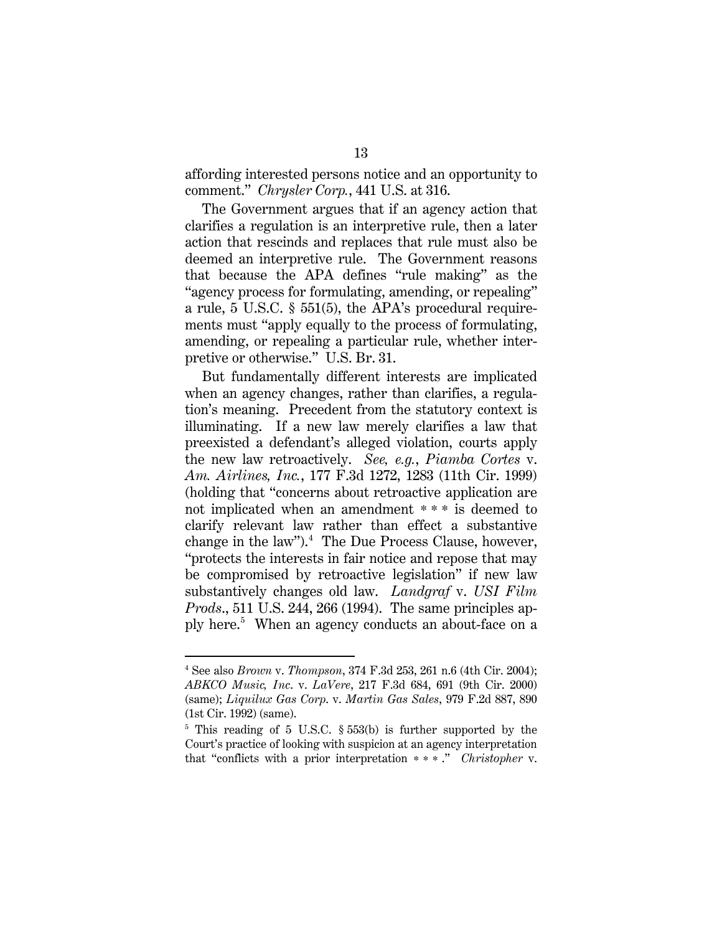affording interested persons notice and an opportunity to comment." *Chrysler Corp.*, 441 U.S. at 316.

The Government argues that if an agency action that clarifies a regulation is an interpretive rule, then a later action that rescinds and replaces that rule must also be deemed an interpretive rule. The Government reasons that because the APA defines "rule making" as the "agency process for formulating, amending, or repealing" a rule, 5 U.S.C. § 551(5), the APA's procedural requirements must "apply equally to the process of formulating, amending, or repealing a particular rule, whether interpretive or otherwise." U.S. Br. 31.

But fundamentally different interests are implicated when an agency changes, rather than clarifies, a regulation's meaning. Precedent from the statutory context is illuminating. If a new law merely clarifies a law that preexisted a defendant's alleged violation, courts apply the new law retroactively. *See, e.g.*, *Piamba Cortes* v. *Am. Airlines, Inc.*, 177 F.3d 1272, 1283 (11th Cir. 1999) (holding that "concerns about retroactive application are not implicated when an amendment \* \* \* is deemed to clarify relevant law rather than effect a substantive change in the law"). $4$  The Due Process Clause, however, "protects the interests in fair notice and repose that may be compromised by retroactive legislation" if new law substantively changes old law. *Landgraf* v. *USI Film Prods*., 511 U.S. 244, 266 (1994). The same principles apply here.[5](#page-20-1) When an agency conducts an about-face on a

<span id="page-20-0"></span> <sup>4</sup> See also *Brown* v. *Thompson*, 374 F.3d 253, 261 n.6 (4th Cir. 2004); *ABKCO Music, Inc*. v. *LaVere*, 217 F.3d 684, 691 (9th Cir. 2000) (same); *Liquilux Gas Corp*. v. *Martin Gas Sales*, 979 F.2d 887, 890 (1st Cir. 1992) (same).

<span id="page-20-1"></span> $5$  This reading of 5 U.S.C.  $\S 553(b)$  is further supported by the Court's practice of looking with suspicion at an agency interpretation that "conflicts with a prior interpretation \*\*\* ." *Christopher* v.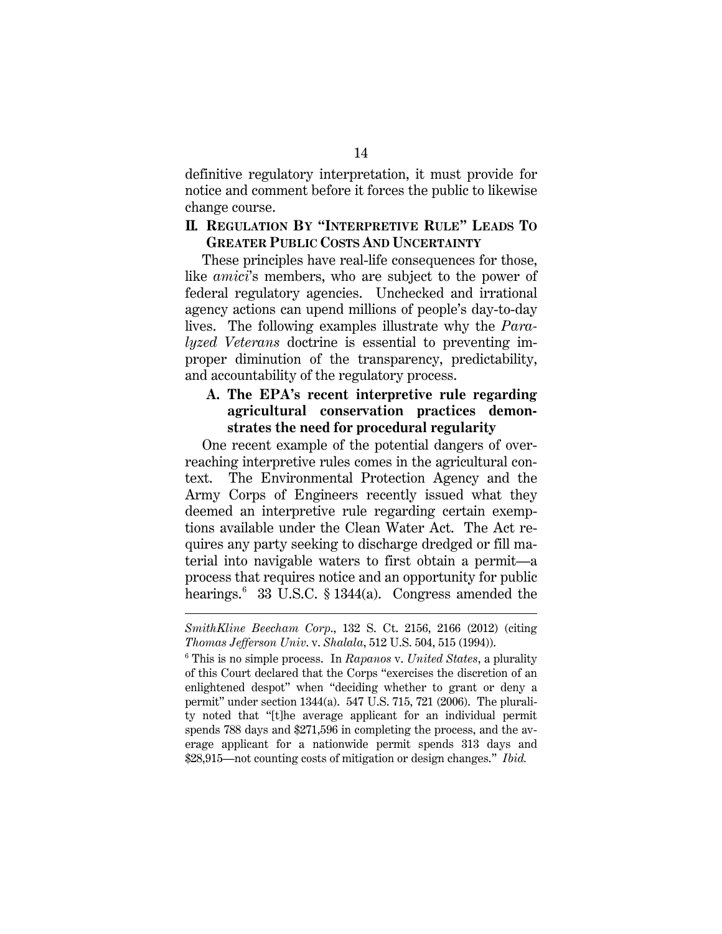definitive regulatory interpretation, it must provide for notice and comment before it forces the public to likewise change course.

#### **II. REGULATION BY "INTERPRETIVE RULE" LEADS TO GREATER PUBLIC COSTS AND UNCERTAINTY**

These principles have real-life consequences for those, like *amici*'s members, who are subject to the power of federal regulatory agencies. Unchecked and irrational agency actions can upend millions of people's day-to-day lives. The following examples illustrate why the *Paralyzed Veterans* doctrine is essential to preventing improper diminution of the transparency, predictability, and accountability of the regulatory process.

#### **A. The EPA's recent interpretive rule regarding agricultural conservation practices demonstrates the need for procedural regularity**

One recent example of the potential dangers of overreaching interpretive rules comes in the agricultural context. The Environmental Protection Agency and the Army Corps of Engineers recently issued what they deemed an interpretive rule regarding certain exemptions available under the Clean Water Act. The Act requires any party seeking to discharge dredged or fill material into navigable waters to first obtain a permit—a process that requires notice and an opportunity for public hearings.<sup>[6](#page-21-0)</sup> 33 U.S.C. § 1344(a). Congress amended the

 $\overline{a}$ 

<span id="page-21-0"></span><sup>6</sup> This is no simple process. In *Rapanos* v. *United States*, a plurality of this Court declared that the Corps "exercises the discretion of an enlightened despot" when "deciding whether to grant or deny a permit" under section 1344(a). 547 U.S. 715, 721 (2006). The plurality noted that "[t]he average applicant for an individual permit spends 788 days and \$271,596 in completing the process, and the average applicant for a nationwide permit spends 313 days and \$28,915—not counting costs of mitigation or design changes." *Ibid.*

*SmithKline Beecham Corp*., 132 S. Ct. 2156, 2166 (2012) (citing *Thomas Jefferson Univ*. v. *Shalala*, 512 U.S. 504, 515 (1994)).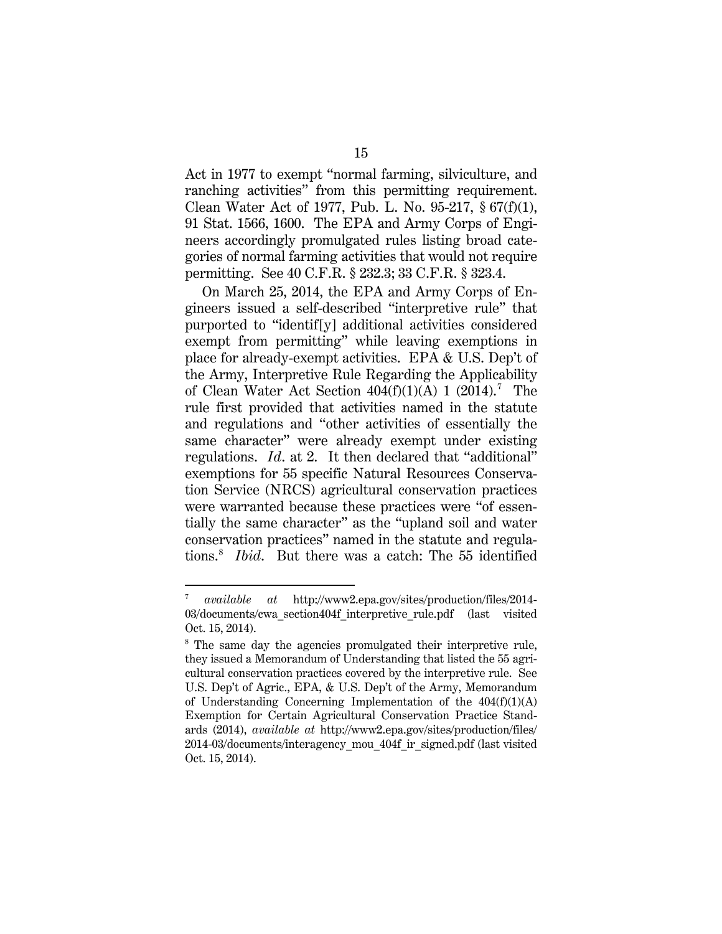Act in 1977 to exempt "normal farming, silviculture, and ranching activities" from this permitting requirement. Clean Water Act of 1977, Pub. L. No. 95-217, § 67(f)(1), 91 Stat. 1566, 1600. The EPA and Army Corps of Engineers accordingly promulgated rules listing broad categories of normal farming activities that would not require permitting. See 40 C.F.R. § 232.3; 33 C.F.R. § 323.4.

On March 25, 2014, the EPA and Army Corps of Engineers issued a self-described "interpretive rule" that purported to "identif[y] additional activities considered exempt from permitting" while leaving exemptions in place for already-exempt activities. EPA & U.S. Dep't of the Army, Interpretive Rule Regarding the Applicability of Clean Water Act Section  $404(f)(1)(A) 1 (2014).$ <sup>[7](#page-22-0)</sup> The rule first provided that activities named in the statute and regulations and "other activities of essentially the same character" were already exempt under existing regulations. *Id*. at 2. It then declared that "additional" exemptions for 55 specific Natural Resources Conservation Service (NRCS) agricultural conservation practices were warranted because these practices were "of essentially the same character" as the "upland soil and water conservation practices" named in the statute and regulations.[8](#page-22-1) *Ibid*. But there was a catch: The 55 identified

<span id="page-22-0"></span> <sup>7</sup> *available at* http://www2.epa.gov/sites/production/files/2014- 03/documents/cwa\_section404f\_interpretive\_rule.pdf (last visited Oct. 15, 2014).

<span id="page-22-1"></span><sup>&</sup>lt;sup>8</sup> The same day the agencies promulgated their interpretive rule, they issued a Memorandum of Understanding that listed the 55 agricultural conservation practices covered by the interpretive rule. See U.S. Dep't of Agric., EPA, & U.S. Dep't of the Army, Memorandum of Understanding Concerning Implementation of the  $404(f)(1)(A)$ Exemption for Certain Agricultural Conservation Practice Standards (2014), *available at* http://www2.epa.gov/sites/production/files/ 2014-03/documents/interagency\_mou\_404f\_ir\_signed.pdf (last visited Oct. 15, 2014).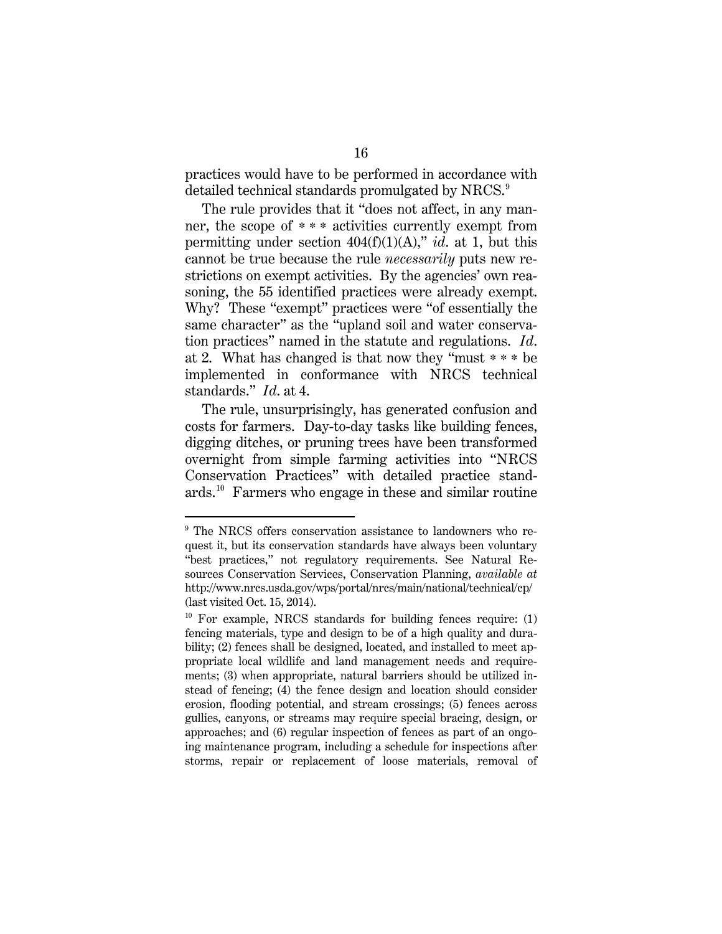practices would have to be performed in accordance with detailed technical standards promulgated by NRCS.<sup>[9](#page-23-0)</sup>

The rule provides that it "does not affect, in any manner, the scope of \* \* \* activities currently exempt from permitting under section 404(f)(1)(A)," *id*. at 1, but this cannot be true because the rule *necessarily* puts new restrictions on exempt activities. By the agencies' own reasoning, the 55 identified practices were already exempt. Why? These "exempt" practices were "of essentially the same character" as the "upland soil and water conservation practices" named in the statute and regulations. *Id*. at 2. What has changed is that now they "must \* \* \* be implemented in conformance with NRCS technical standards." *Id*. at 4.

The rule, unsurprisingly, has generated confusion and costs for farmers. Day-to-day tasks like building fences, digging ditches, or pruning trees have been transformed overnight from simple farming activities into "NRCS Conservation Practices" with detailed practice standards. [10](#page-23-1) Farmers who engage in these and similar routine

<span id="page-23-0"></span><sup>&</sup>lt;sup>9</sup> The NRCS offers conservation assistance to landowners who request it, but its conservation standards have always been voluntary "best practices," not regulatory requirements. See Natural Resources Conservation Services, Conservation Planning, *available at* http://www.nrcs.usda.gov/wps/portal/nrcs/main/national/technical/cp/ (last visited Oct. 15, 2014).

<span id="page-23-1"></span> $10$  For example, NRCS standards for building fences require: (1) fencing materials, type and design to be of a high quality and durability; (2) fences shall be designed, located, and installed to meet appropriate local wildlife and land management needs and requirements; (3) when appropriate, natural barriers should be utilized instead of fencing; (4) the fence design and location should consider erosion, flooding potential, and stream crossings; (5) fences across gullies, canyons, or streams may require special bracing, design, or approaches; and (6) regular inspection of fences as part of an ongoing maintenance program, including a schedule for inspections after storms, repair or replacement of loose materials, removal of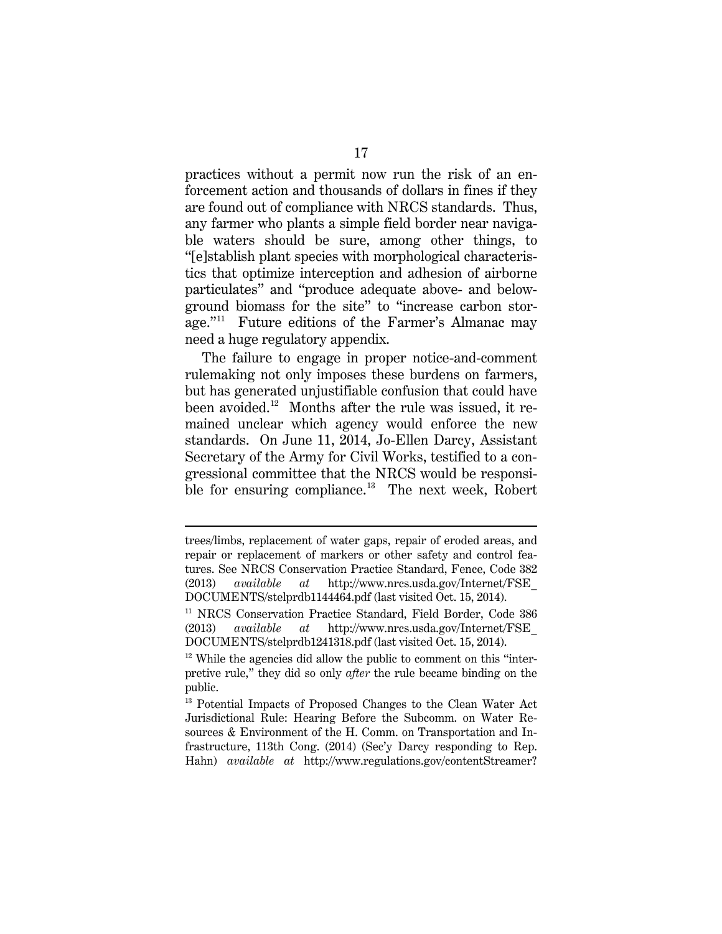practices without a permit now run the risk of an enforcement action and thousands of dollars in fines if they are found out of compliance with NRCS standards. Thus, any farmer who plants a simple field border near navigable waters should be sure, among other things, to "[e]stablish plant species with morphological characteristics that optimize interception and adhesion of airborne particulates" and "produce adequate above- and belowground biomass for the site" to "increase carbon stor-age."<sup>[11](#page-24-0)</sup> Future editions of the Farmer's Almanac may need a huge regulatory appendix.

The failure to engage in proper notice-and-comment rulemaking not only imposes these burdens on farmers, but has generated unjustifiable confusion that could have been avoided.<sup>12</sup> Months after the rule was issued, it remained unclear which agency would enforce the new standards. On June 11, 2014, Jo-Ellen Darcy, Assistant Secretary of the Army for Civil Works, testified to a congressional committee that the NRCS would be responsi-ble for ensuring compliance.<sup>[13](#page-24-2)</sup> The next week, Robert

 $\overline{a}$ 

trees/limbs, replacement of water gaps, repair of eroded areas, and repair or replacement of markers or other safety and control features. See NRCS Conservation Practice Standard, Fence, Code 382 (2013) *available at* http://www.nrcs.usda.gov/Internet/FSE\_ DOCUMENTS/stelprdb1144464.pdf (last visited Oct. 15, 2014).

<span id="page-24-0"></span><sup>11</sup> NRCS Conservation Practice Standard, Field Border, Code 386 (2013) *available at* http://www.nrcs.usda.gov/Internet/FSE\_ DOCUMENTS/stelprdb1241318.pdf (last visited Oct. 15, 2014).

<span id="page-24-1"></span> $12$  While the agencies did allow the public to comment on this "interpretive rule," they did so only *after* the rule became binding on the public.

<span id="page-24-2"></span><sup>&</sup>lt;sup>13</sup> Potential Impacts of Proposed Changes to the Clean Water Act Jurisdictional Rule: Hearing Before the Subcomm. on Water Resources & Environment of the H. Comm. on Transportation and Infrastructure, 113th Cong. (2014) (Sec'y Darcy responding to Rep. Hahn) *available at* http://www.regulations.gov/contentStreamer?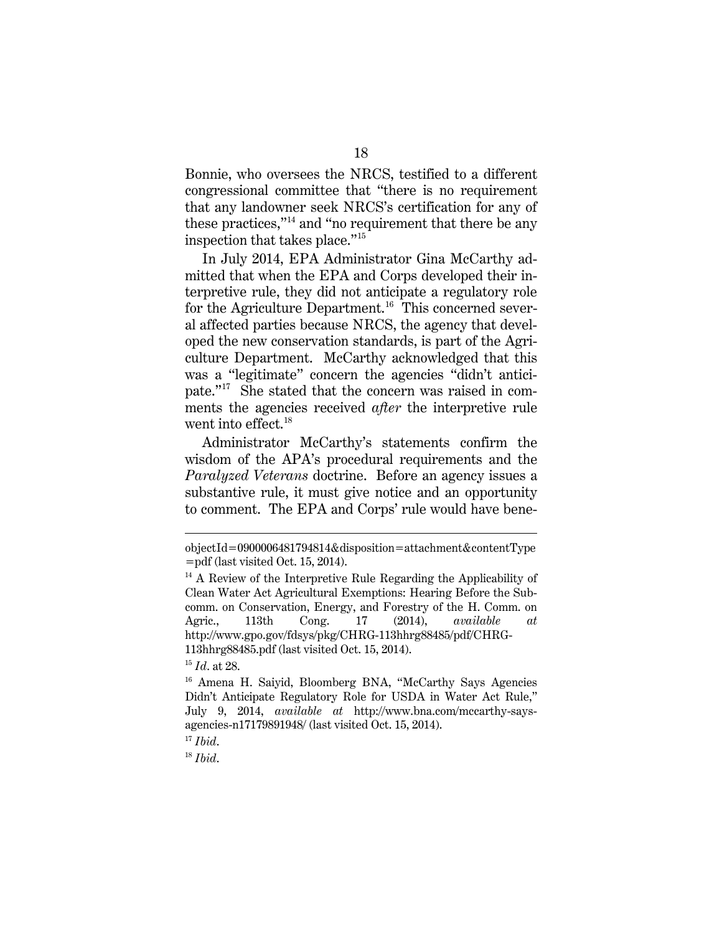Bonnie, who oversees the NRCS, testified to a different congressional committee that "there is no requirement that any landowner seek NRCS's certification for any of these practices,"[14](#page-25-0) and "no requirement that there be any inspection that takes place."[15](#page-25-1)

In July 2014, EPA Administrator Gina McCarthy admitted that when the EPA and Corps developed their interpretive rule, they did not anticipate a regulatory role for the Agriculture Department.<sup>16</sup> This concerned several affected parties because NRCS, the agency that developed the new conservation standards, is part of the Agriculture Department. McCarthy acknowledged that this was a "legitimate" concern the agencies "didn't anticipate."[17](#page-25-3) She stated that the concern was raised in comments the agencies received *after* the interpretive rule went into effect.<sup>18</sup>

Administrator McCarthy's statements confirm the wisdom of the APA's procedural requirements and the *Paralyzed Veterans* doctrine. Before an agency issues a substantive rule, it must give notice and an opportunity to comment. The EPA and Corps' rule would have bene-

 $\overline{a}$ 

<span id="page-25-4"></span><sup>18</sup> *Ibid*.

objectId=0900006481794814&disposition=attachment&contentType =pdf (last visited Oct. 15, 2014).

<span id="page-25-0"></span> $14$  A Review of the Interpretive Rule Regarding the Applicability of Clean Water Act Agricultural Exemptions: Hearing Before the Subcomm. on Conservation, Energy, and Forestry of the H. Comm. on Agric., 113th Cong. 17 (2014), *available at* http://www.gpo.gov/fdsys/pkg/CHRG-113hhrg88485/pdf/CHRG-113hhrg88485.pdf (last visited Oct. 15, 2014).

<span id="page-25-1"></span><sup>15</sup> *Id*. at 28.

<span id="page-25-2"></span><sup>&</sup>lt;sup>16</sup> Amena H. Saiyid, Bloomberg BNA, "McCarthy Says Agencies Didn't Anticipate Regulatory Role for USDA in Water Act Rule," July 9, 2014, *available at* http://www.bna.com/mccarthy-saysagencies-n17179891948/ (last visited Oct. 15, 2014).

<span id="page-25-3"></span><sup>17</sup> *Ibid*.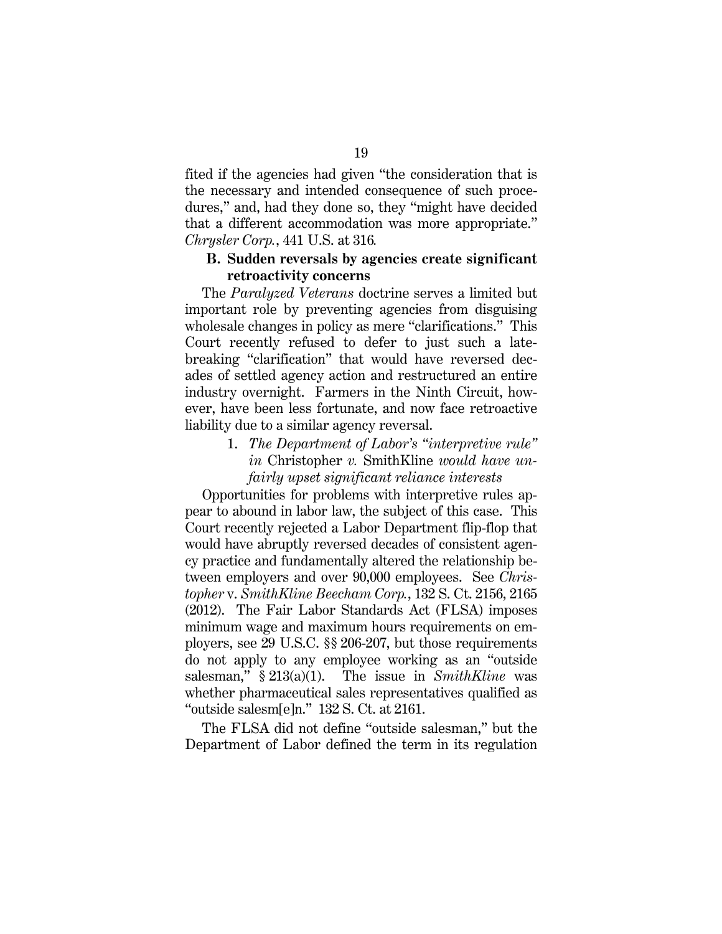fited if the agencies had given "the consideration that is the necessary and intended consequence of such procedures," and, had they done so, they "might have decided that a different accommodation was more appropriate." *Chrysler Corp.*, 441 U.S. at 316*.*

#### **B. Sudden reversals by agencies create significant retroactivity concerns**

The *Paralyzed Veterans* doctrine serves a limited but important role by preventing agencies from disguising wholesale changes in policy as mere "clarifications." This Court recently refused to defer to just such a latebreaking "clarification" that would have reversed decades of settled agency action and restructured an entire industry overnight. Farmers in the Ninth Circuit, however, have been less fortunate, and now face retroactive liability due to a similar agency reversal.

> 1. *The Department of Labor's "interpretive rule" in* Christopher *v.* SmithKline *would have unfairly upset significant reliance interests*

Opportunities for problems with interpretive rules appear to abound in labor law, the subject of this case. This Court recently rejected a Labor Department flip-flop that would have abruptly reversed decades of consistent agency practice and fundamentally altered the relationship between employers and over 90,000 employees. See *Christopher* v. *SmithKline Beecham Corp.*, 132 S. Ct. 2156, 2165 (2012). The Fair Labor Standards Act (FLSA) imposes minimum wage and maximum hours requirements on employers, see 29 U.S.C. §§ 206-207, but those requirements do not apply to any employee working as an "outside salesman," § 213(a)(1). The issue in *SmithKline* was whether pharmaceutical sales representatives qualified as "outside salesm[e]n." 132 S. Ct. at 2161.

The FLSA did not define "outside salesman," but the Department of Labor defined the term in its regulation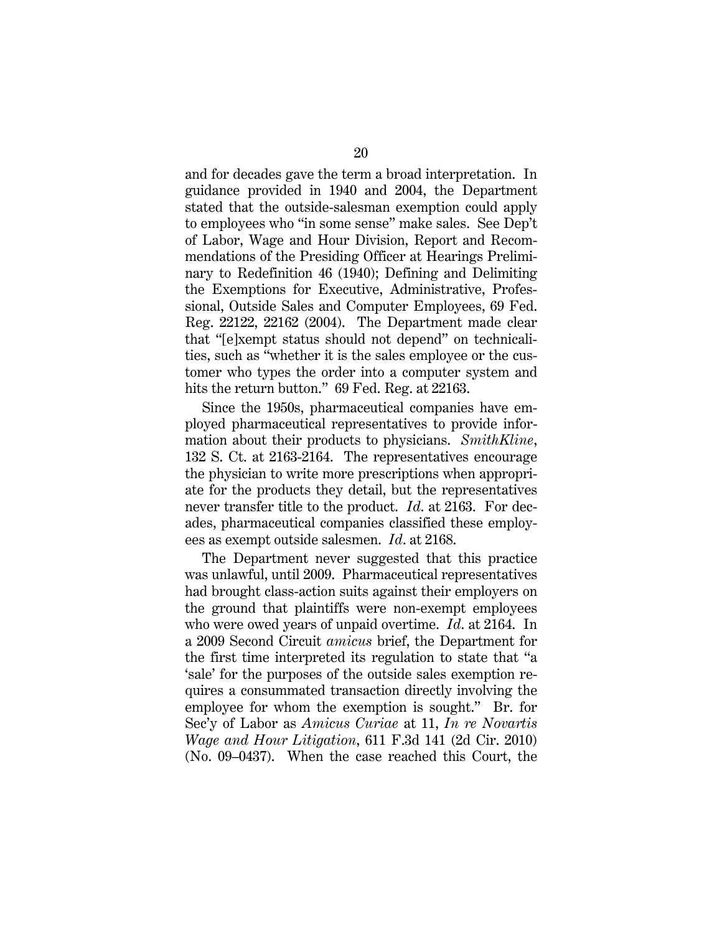and for decades gave the term a broad interpretation. In guidance provided in 1940 and 2004, the Department stated that the outside-salesman exemption could apply to employees who "in some sense" make sales. See Dep't of Labor, Wage and Hour Division, Report and Recommendations of the Presiding Officer at Hearings Preliminary to Redefinition 46 (1940); Defining and Delimiting the Exemptions for Executive, Administrative, Professional, Outside Sales and Computer Employees, 69 Fed. Reg. 22122, 22162 (2004). The Department made clear that "[e]xempt status should not depend" on technicalities, such as "whether it is the sales employee or the customer who types the order into a computer system and hits the return button." 69 Fed. Reg. at 22163.

Since the 1950s, pharmaceutical companies have employed pharmaceutical representatives to provide information about their products to physicians. *SmithKline*, 132 S. Ct. at 2163-2164. The representatives encourage the physician to write more prescriptions when appropriate for the products they detail, but the representatives never transfer title to the product. *Id*. at 2163. For decades, pharmaceutical companies classified these employees as exempt outside salesmen. *Id*. at 2168.

The Department never suggested that this practice was unlawful, until 2009. Pharmaceutical representatives had brought class-action suits against their employers on the ground that plaintiffs were non-exempt employees who were owed years of unpaid overtime. *Id*. at 2164. In a 2009 Second Circuit *amicus* brief, the Department for the first time interpreted its regulation to state that "a 'sale' for the purposes of the outside sales exemption requires a consummated transaction directly involving the employee for whom the exemption is sought." Br. for Sec'y of Labor as *Amicus Curiae* at 11, *In re Novartis Wage and Hour Litigation*, 611 F.3d 141 (2d Cir. 2010) (No. 09–0437). When the case reached this Court, the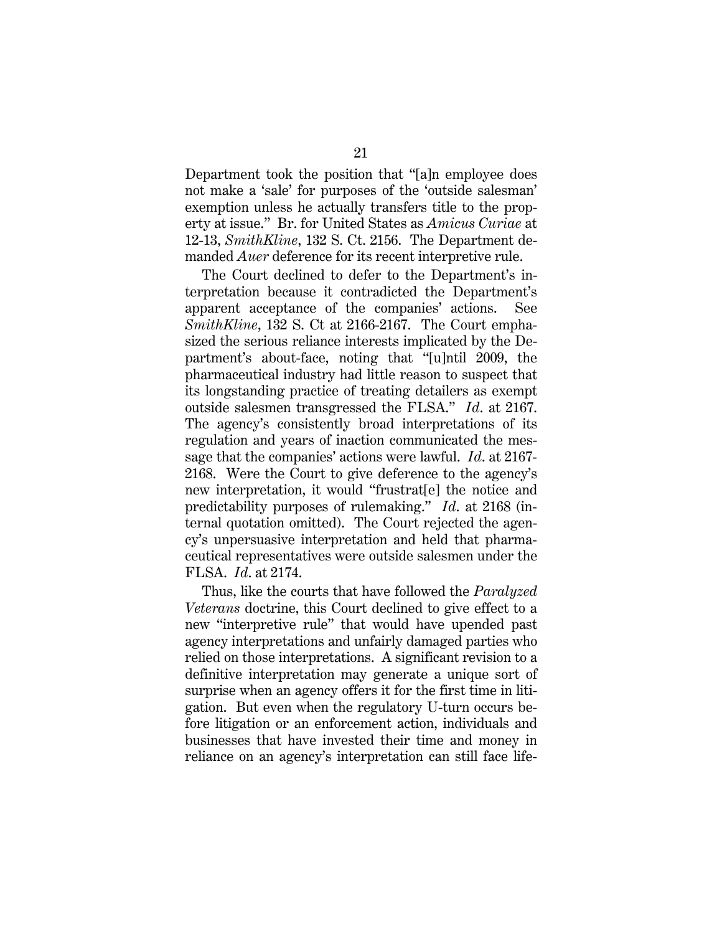Department took the position that "[a]n employee does not make a 'sale' for purposes of the 'outside salesman' exemption unless he actually transfers title to the property at issue." Br. for United States as *Amicus Curiae* at 12-13, *SmithKline*, 132 S. Ct. 2156. The Department demanded *Auer* deference for its recent interpretive rule.

The Court declined to defer to the Department's interpretation because it contradicted the Department's apparent acceptance of the companies' actions. See *SmithKline*, 132 S. Ct at 2166-2167. The Court emphasized the serious reliance interests implicated by the Department's about-face, noting that "[u]ntil 2009, the pharmaceutical industry had little reason to suspect that its longstanding practice of treating detailers as exempt outside salesmen transgressed the FLSA." *Id*. at 2167. The agency's consistently broad interpretations of its regulation and years of inaction communicated the message that the companies' actions were lawful. *Id*. at 2167- 2168. Were the Court to give deference to the agency's new interpretation, it would "frustrat[e] the notice and predictability purposes of rulemaking." *Id*. at 2168 (internal quotation omitted). The Court rejected the agency's unpersuasive interpretation and held that pharmaceutical representatives were outside salesmen under the FLSA. *Id*. at 2174.

Thus, like the courts that have followed the *Paralyzed Veterans* doctrine, this Court declined to give effect to a new "interpretive rule" that would have upended past agency interpretations and unfairly damaged parties who relied on those interpretations. A significant revision to a definitive interpretation may generate a unique sort of surprise when an agency offers it for the first time in litigation. But even when the regulatory U-turn occurs before litigation or an enforcement action, individuals and businesses that have invested their time and money in reliance on an agency's interpretation can still face life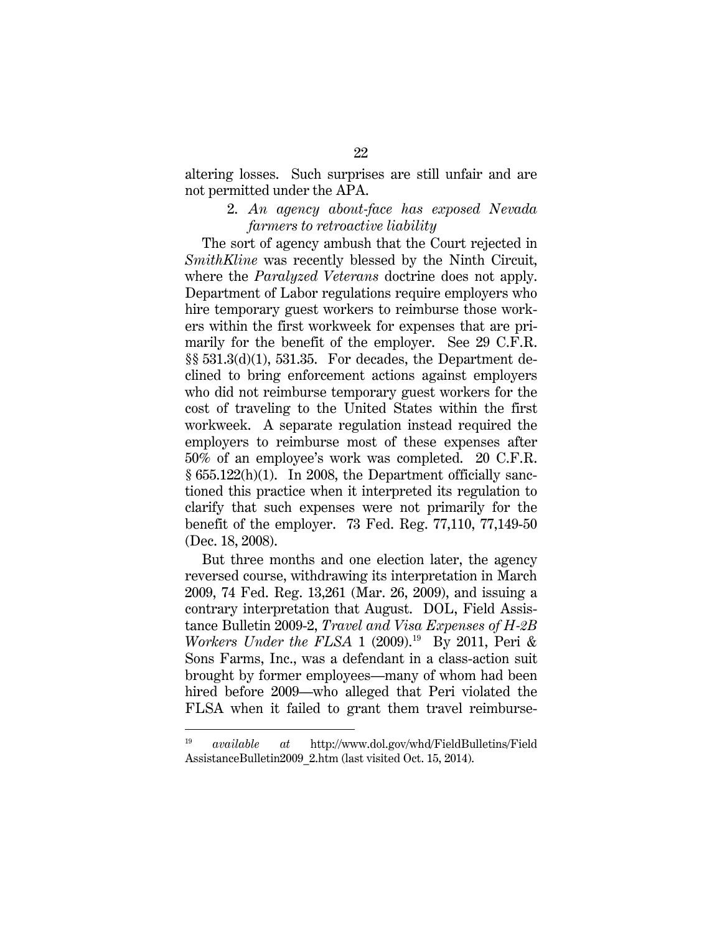altering losses. Such surprises are still unfair and are not permitted under the APA.

#### 2. *An agency about-face has exposed Nevada farmers to retroactive liability*

The sort of agency ambush that the Court rejected in *SmithKline* was recently blessed by the Ninth Circuit, where the *Paralyzed Veterans* doctrine does not apply. Department of Labor regulations require employers who hire temporary guest workers to reimburse those workers within the first workweek for expenses that are primarily for the benefit of the employer. See 29 C.F.R. §§ 531.3(d)(1), 531.35. For decades, the Department declined to bring enforcement actions against employers who did not reimburse temporary guest workers for the cost of traveling to the United States within the first workweek. A separate regulation instead required the employers to reimburse most of these expenses after 50% of an employee's work was completed. 20 C.F.R. § 655.122(h)(1). In 2008, the Department officially sanctioned this practice when it interpreted its regulation to clarify that such expenses were not primarily for the benefit of the employer. 73 Fed. Reg. 77,110, 77,149-50 (Dec. 18, 2008).

But three months and one election later, the agency reversed course, withdrawing its interpretation in March 2009, 74 Fed. Reg. 13,261 (Mar. 26, 2009), and issuing a contrary interpretation that August. DOL, Field Assistance Bulletin 2009-2, *Travel and Visa Expenses of H-2B Workers Under the FLSA* 1 (2009).<sup>[19](#page-29-0)</sup> By 2011, Peri & Sons Farms, Inc., was a defendant in a class-action suit brought by former employees—many of whom had been hired before 2009—who alleged that Peri violated the FLSA when it failed to grant them travel reimburse-

<span id="page-29-0"></span> <sup>19</sup> *available at* http://www.dol.gov/whd/FieldBulletins/Field AssistanceBulletin2009\_2.htm (last visited Oct. 15, 2014).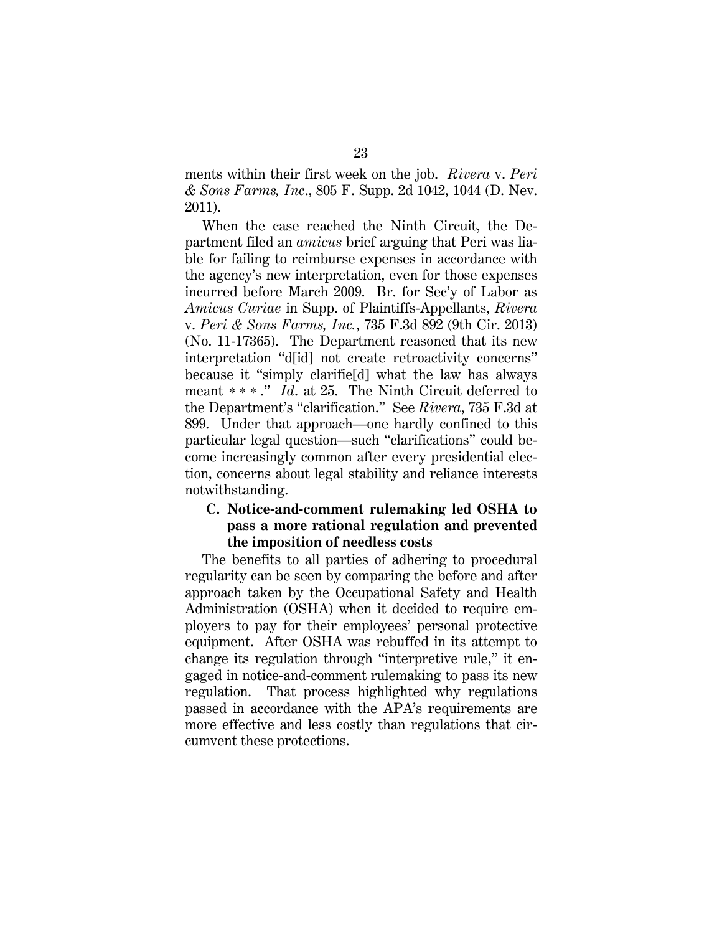ments within their first week on the job. *Rivera* v. *Peri & Sons Farms, Inc*., 805 F. Supp. 2d 1042, 1044 (D. Nev. 2011).

When the case reached the Ninth Circuit, the Department filed an *amicus* brief arguing that Peri was liable for failing to reimburse expenses in accordance with the agency's new interpretation, even for those expenses incurred before March 2009. Br. for Sec'y of Labor as *Amicus Curiae* in Supp. of Plaintiffs-Appellants, *Rivera*  v. *Peri & Sons Farms, Inc.*, 735 F.3d 892 (9th Cir. 2013) (No. 11-17365). The Department reasoned that its new interpretation "d[id] not create retroactivity concerns" because it "simply clarifie[d] what the law has always meant \*\*\* ." *Id*. at 25. The Ninth Circuit deferred to the Department's "clarification." See *Rivera*, 735 F.3d at 899. Under that approach—one hardly confined to this particular legal question—such "clarifications" could become increasingly common after every presidential election, concerns about legal stability and reliance interests notwithstanding.

#### **C. Notice-and-comment rulemaking led OSHA to pass a more rational regulation and prevented the imposition of needless costs**

The benefits to all parties of adhering to procedural regularity can be seen by comparing the before and after approach taken by the Occupational Safety and Health Administration (OSHA) when it decided to require employers to pay for their employees' personal protective equipment. After OSHA was rebuffed in its attempt to change its regulation through "interpretive rule," it engaged in notice-and-comment rulemaking to pass its new regulation. That process highlighted why regulations passed in accordance with the APA's requirements are more effective and less costly than regulations that circumvent these protections.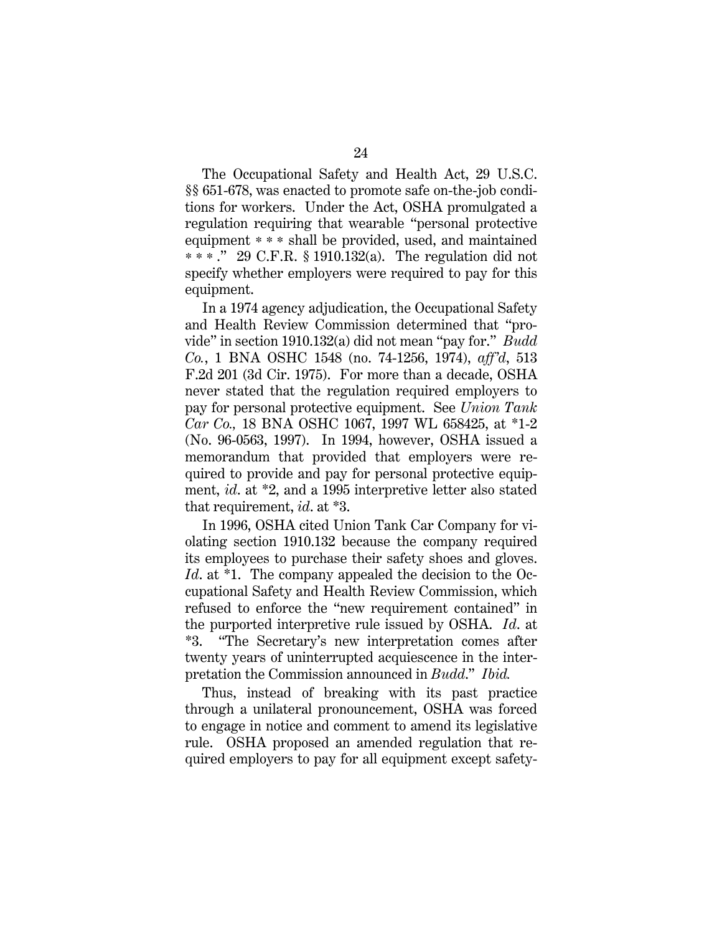The Occupational Safety and Health Act, 29 U.S.C. §§ 651-678, was enacted to promote safe on-the-job conditions for workers. Under the Act, OSHA promulgated a regulation requiring that wearable "personal protective equipment \* \* \* shall be provided, used, and maintained \*\*\* ." 29 C.F.R. § 1910.132(a). The regulation did not specify whether employers were required to pay for this equipment.

In a 1974 agency adjudication, the Occupational Safety and Health Review Commission determined that "provide" in section 1910.132(a) did not mean "pay for." *Budd Co.*, 1 BNA OSHC 1548 (no. 74-1256, 1974), *aff'd*, 513 F.2d 201 (3d Cir. 1975). For more than a decade, OSHA never stated that the regulation required employers to pay for personal protective equipment. See *Union Tank Car Co.,* 18 BNA OSHC 1067, 1997 WL 658425, at \*1-2 (No. 96-0563, 1997). In 1994, however, OSHA issued a memorandum that provided that employers were required to provide and pay for personal protective equipment, *id*. at \*2, and a 1995 interpretive letter also stated that requirement, *id*. at \*3.

In 1996, OSHA cited Union Tank Car Company for violating section 1910.132 because the company required its employees to purchase their safety shoes and gloves. *Id*. at \*1. The company appealed the decision to the Occupational Safety and Health Review Commission, which refused to enforce the "new requirement contained" in the purported interpretive rule issued by OSHA. *Id*. at \*3. "The Secretary's new interpretation comes after twenty years of uninterrupted acquiescence in the interpretation the Commission announced in *Budd*." *Ibid.*

Thus, instead of breaking with its past practice through a unilateral pronouncement, OSHA was forced to engage in notice and comment to amend its legislative rule. OSHA proposed an amended regulation that required employers to pay for all equipment except safety-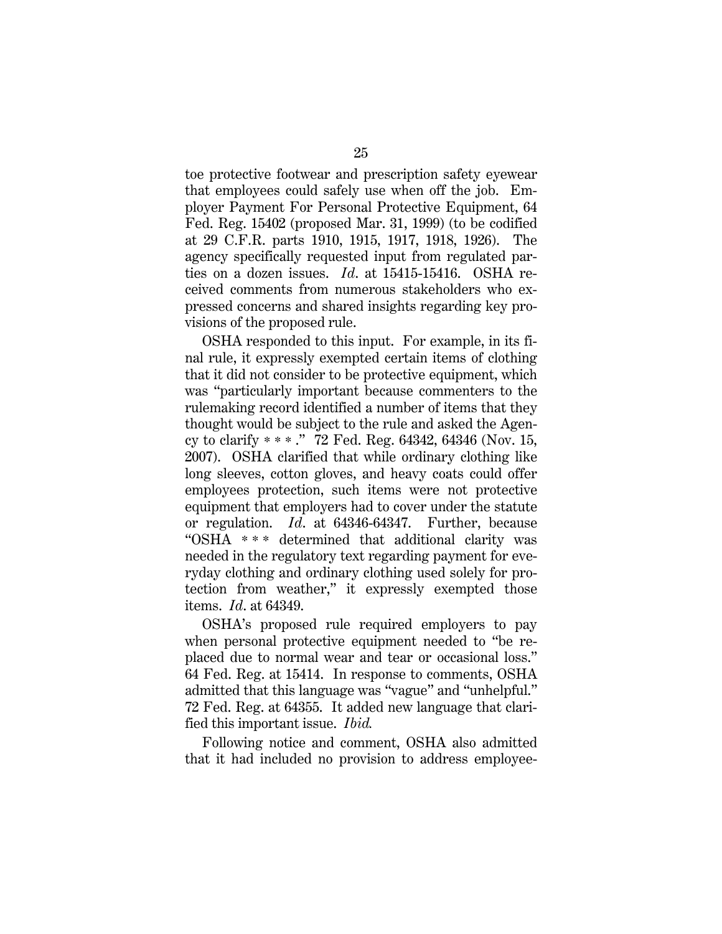toe protective footwear and prescription safety eyewear that employees could safely use when off the job. Employer Payment For Personal Protective Equipment, 64 Fed. Reg. 15402 (proposed Mar. 31, 1999) (to be codified at 29 C.F.R. parts 1910, 1915, 1917, 1918, 1926). The agency specifically requested input from regulated parties on a dozen issues. *Id*. at 15415-15416. OSHA received comments from numerous stakeholders who expressed concerns and shared insights regarding key provisions of the proposed rule.

OSHA responded to this input. For example, in its final rule, it expressly exempted certain items of clothing that it did not consider to be protective equipment, which was "particularly important because commenters to the rulemaking record identified a number of items that they thought would be subject to the rule and asked the Agency to clarify \*\*\* ." 72 Fed. Reg. 64342, 64346 (Nov. 15, 2007). OSHA clarified that while ordinary clothing like long sleeves, cotton gloves, and heavy coats could offer employees protection, such items were not protective equipment that employers had to cover under the statute or regulation. *Id*. at 64346-64347. Further, because "OSHA \* \* \* determined that additional clarity was needed in the regulatory text regarding payment for everyday clothing and ordinary clothing used solely for protection from weather," it expressly exempted those items. *Id*. at 64349.

OSHA's proposed rule required employers to pay when personal protective equipment needed to "be replaced due to normal wear and tear or occasional loss." 64 Fed. Reg. at 15414. In response to comments, OSHA admitted that this language was "vague" and "unhelpful." 72 Fed. Reg. at 64355. It added new language that clarified this important issue. *Ibid.*

Following notice and comment, OSHA also admitted that it had included no provision to address employee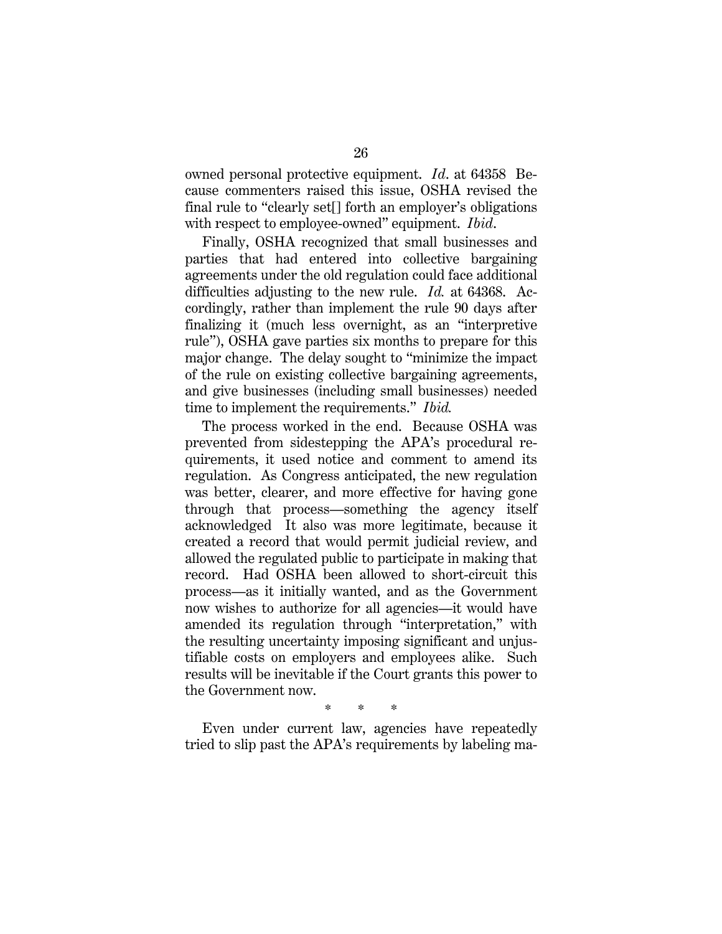owned personal protective equipment. *Id*. at 64358 Because commenters raised this issue, OSHA revised the final rule to "clearly set<sup>[]</sup> forth an employer's obligations with respect to employee-owned" equipment. *Ibid*.

Finally, OSHA recognized that small businesses and parties that had entered into collective bargaining agreements under the old regulation could face additional difficulties adjusting to the new rule. *Id.* at 64368. Accordingly, rather than implement the rule 90 days after finalizing it (much less overnight, as an "interpretive rule"), OSHA gave parties six months to prepare for this major change. The delay sought to "minimize the impact of the rule on existing collective bargaining agreements, and give businesses (including small businesses) needed time to implement the requirements." *Ibid.*

The process worked in the end. Because OSHA was prevented from sidestepping the APA's procedural requirements, it used notice and comment to amend its regulation. As Congress anticipated, the new regulation was better, clearer, and more effective for having gone through that process—something the agency itself acknowledged It also was more legitimate, because it created a record that would permit judicial review, and allowed the regulated public to participate in making that record. Had OSHA been allowed to short-circuit this process—as it initially wanted, and as the Government now wishes to authorize for all agencies—it would have amended its regulation through "interpretation," with the resulting uncertainty imposing significant and unjustifiable costs on employers and employees alike. Such results will be inevitable if the Court grants this power to the Government now.

\* \* \*

Even under current law, agencies have repeatedly tried to slip past the APA's requirements by labeling ma